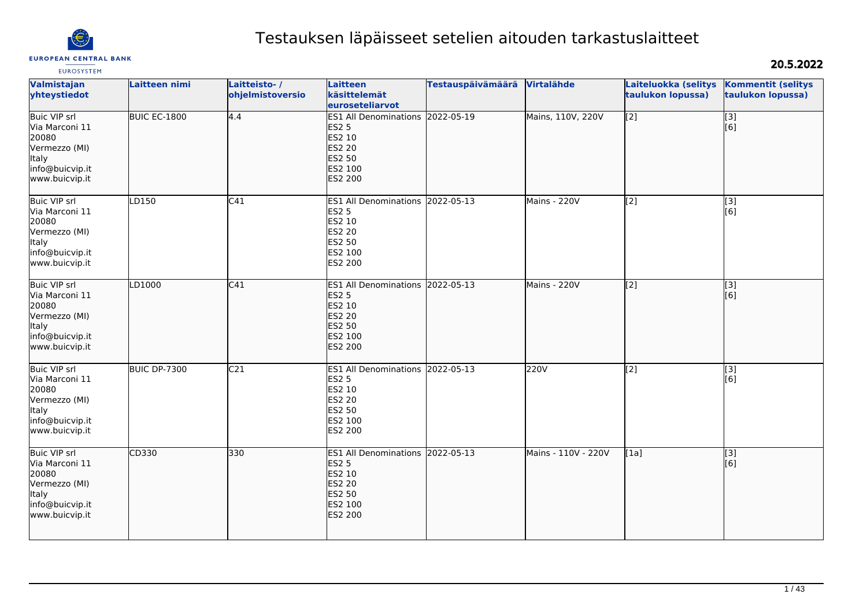

# Testauksen läpäisseet setelien aitouden tarkastuslaitteet

# 20.5.2022

| Valmistajan<br>yhteystiedot                                                                                          | Laitteen nimi       | Laitteisto-/<br>ohjelmistoversio | <b>Laitteen</b><br>käsittelemät                                                                                           | <b>Testauspäivämäärä</b> | Virtalähde          | Laiteluokka (selitys<br>taulukon lopussa) | <b>Kommentit (selitys</b><br>taulukon lopussa)        |
|----------------------------------------------------------------------------------------------------------------------|---------------------|----------------------------------|---------------------------------------------------------------------------------------------------------------------------|--------------------------|---------------------|-------------------------------------------|-------------------------------------------------------|
|                                                                                                                      |                     |                                  | euroseteliarvot                                                                                                           |                          |                     |                                           |                                                       |
| <b>Buic VIP srl</b><br>Via Marconi 11<br>20080<br>Vermezzo (MI)<br>Italy<br>info@buicvip.it<br>www.buicvip.it        | BUIC EC-1800        | 4.4                              | ES1 All Denominations 2022-05-19<br><b>ES2 5</b><br>ES2 10<br><b>ES2 20</b><br><b>ES2 50</b><br>ES2 100<br><b>ES2 200</b> |                          | Mains, 110V, 220V   | $\overline{[2]}$                          | $\overline{[3]}$<br>[6]                               |
| <b>Buic VIP</b> srl<br>Via Marconi 11<br>20080<br>Vermezzo (MI)<br>Italy<br>info@buicvip.it<br>www.buicvip.it        | LD150               | C41                              | ES1 All Denominations 2022-05-13<br><b>ES2 5</b><br>ES2 10<br><b>ES2 20</b><br>ES2 50<br>ES2 100<br>ES2 200               |                          | Mains - 220V        | $\overline{[2]}$                          | $\overline{[}$ [3]<br>[6]                             |
| <b>Buic VIP srl</b><br>Via Marconi 11<br>20080<br>Vermezzo (MI)<br><b>Italy</b><br>info@buicvip.it<br>www.buicvip.it | LD1000              | C41                              | <b>ES1 All Denominations</b><br><b>ES2 5</b><br>ES2 10<br><b>ES2 20</b><br>ES2 50<br>ES2 100<br>ES2 200                   | 2022-05-13               | Mains - 220V        | [[2]                                      | $\left[ \begin{matrix} 3 \end{matrix} \right]$<br>[6] |
| <b>Buic VIP srl</b><br>Via Marconi 11<br>20080<br>Vermezzo (MI)<br>Italy<br>info@buicvip.it<br>www.buicvip.it        | <b>BUIC DP-7300</b> | C <sub>21</sub>                  | ES1 All Denominations 2022-05-13<br><b>ES2 5</b><br>ES2 10<br><b>ES2 20</b><br><b>ES2 50</b><br>ES2 100<br>ES2 200        |                          | 220V                | $\overline{[2]}$                          | $\overline{[3]}$<br>[6]                               |
| <b>Buic VIP srl</b><br>Via Marconi 11<br>20080<br>Vermezzo (MI)<br><b>Italy</b><br>info@buicvip.it<br>www.buicvip.it | CD330               | 330                              | ES1 All Denominations 2022-05-13<br><b>ES2 5</b><br>ES2 10<br><b>ES2 20</b><br>ES2 50<br>ES2 100<br><b>ES2 200</b>        |                          | Mains - 110V - 220V | [1a]                                      | $\overline{[}3]$<br>[6]                               |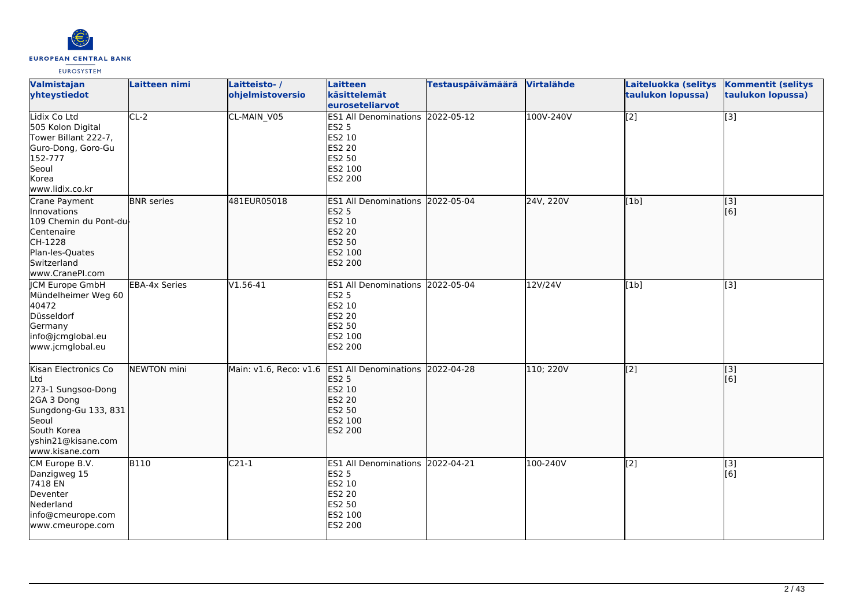

| Valmistajan<br>yhteystiedot                                                                                                                             | <b>Laitteen nimi</b> | Laitteisto-/<br>ohjelmistoversio             | Laitteen<br>käsittelemät<br>euroseteliarvot                                                                        | Testauspäivämäärä | Virtalähde | Laiteluokka (selitys<br>taulukon lopussa) | <b>Kommentit (selitys</b><br>taulukon lopussa) |
|---------------------------------------------------------------------------------------------------------------------------------------------------------|----------------------|----------------------------------------------|--------------------------------------------------------------------------------------------------------------------|-------------------|------------|-------------------------------------------|------------------------------------------------|
| Lidix Co Ltd<br>505 Kolon Digital<br>Tower Billant 222-7,<br>Guro-Dong, Goro-Gu<br>152-777<br>Seoul<br>Korea<br>www.lidix.co.kr                         | $CL-2$               | CL-MAIN_V05                                  | <b>ES1 All Denominations</b><br><b>ES2 5</b><br>ES2 10<br><b>ES2 20</b><br>ES2 50<br>ES2 100<br><b>IES2 200</b>    | 2022-05-12        | 100V-240V  | [2]                                       | $\overline{[3]}$                               |
| Crane Payment<br>Innovations<br>109 Chemin du Pont-du-<br>Centenaire<br>CH-1228<br>Plan-les-Quates<br>Switzerland<br>www.CranePI.com                    | <b>BNR</b> series    | 481EUR05018                                  | ES1 All Denominations 2022-05-04<br><b>ES2 5</b><br>ES2 10<br>ES2 20<br>ES2 50<br>ES2 100<br>ES2 200               |                   | 24V, 220V  | [1b]                                      | $\overline{[}3]$<br>[6]                        |
| <b>JCM</b> Europe GmbH<br>Mündelheimer Weg 60<br>40472<br>Düsseldorf<br>Germany<br>info@jcmglobal.eu<br>www.jcmglobal.eu                                | <b>EBA-4x Series</b> | $V1.56-41$                                   | ES1 All Denominations 2022-05-04<br><b>ES2 5</b><br>ES2 10<br><b>ES2 20</b><br><b>ES2 50</b><br>ES2 100<br>ES2 200 |                   | 12V/24V    | [1b]                                      | $\overline{[3]}$                               |
| Kisan Electronics Co<br>Ltd<br>273-1 Sungsoo-Dong<br>2GA 3 Dong<br>Sungdong-Gu 133, 831<br>Seoul<br>South Korea<br>yshin21@kisane.com<br>www.kisane.com | NEWTON mini          | Main: v1.6, Reco: v1.6 ES1 All Denominations | <b>ES2 5</b><br>ES2 10<br><b>ES2 20</b><br>ES2 50<br>ES2 100<br>ES2 200                                            | 2022-04-28        | 110; 220V  | $\overline{[2]}$                          | $\overline{[3]}$<br>[6]                        |
| CM Europe B.V.<br>Danzigweg 15<br>7418 EN<br>Deventer<br>Nederland<br>info@cmeurope.com<br>www.cmeurope.com                                             | <b>B110</b>          | $C21-1$                                      | ES1 All Denominations 2022-04-21<br><b>ES2 5</b><br>ES2 10<br><b>ES2 20</b><br><b>ES2 50</b><br>ES2 100<br>ES2 200 |                   | 100-240V   | $\overline{[2]}$                          | [3]<br>[6]                                     |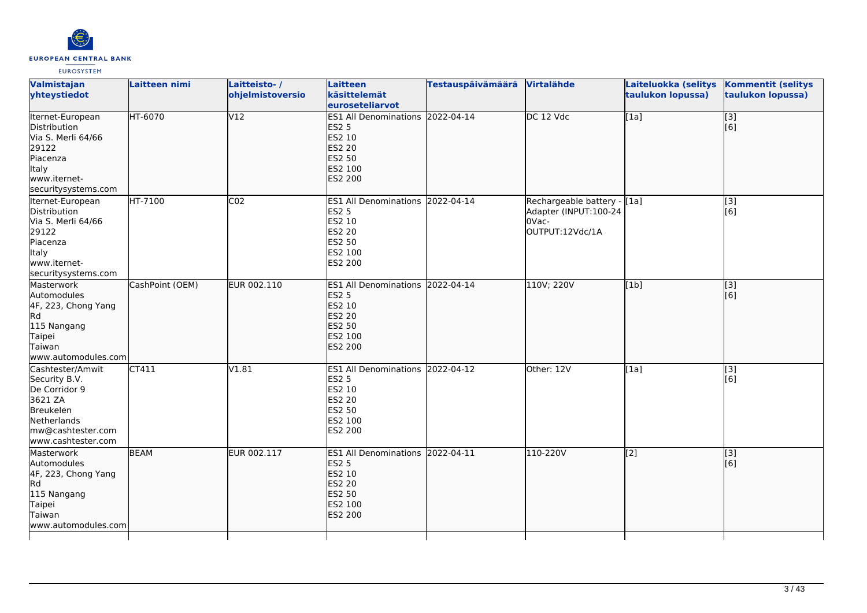

| Valmistajan<br>yhteystiedot                                                                                                          | Laitteen nimi   | Laitteisto-/<br>ohjelmistoversio | <b>Laitteen</b><br>käsittelemät<br>euroseteliarvot                                                                        | Testauspäivämäärä Virtalähde |                                                                                  | Laiteluokka (selitys<br>taulukon lopussa) | <b>Kommentit (selitys</b><br>taulukon lopussa) |
|--------------------------------------------------------------------------------------------------------------------------------------|-----------------|----------------------------------|---------------------------------------------------------------------------------------------------------------------------|------------------------------|----------------------------------------------------------------------------------|-------------------------------------------|------------------------------------------------|
| Iternet-European<br>Distribution<br>Via S. Merli 64/66<br>29122<br>Piacenza<br>Italy<br>www.iternet-<br>securitysystems.com          | HT-6070         | V12                              | <b>ES1 All Denominations</b><br><b>ES2 5</b><br>ES2 10<br><b>ES2 20</b><br>ES2 50<br>ES2 100<br><b>ES2 200</b>            | 2022-04-14                   | DC 12 Vdc                                                                        | [1a]                                      | $\overline{[}3]$<br>[6]                        |
| Iternet-European<br>Distribution<br>Via S. Merli 64/66<br>29122<br>Piacenza<br><b>Italy</b><br>www.iternet-<br>securitysystems.com   | HT-7100         | CO <sub>2</sub>                  | ES1 All Denominations 2022-04-14<br><b>ES2 5</b><br>ES2 10<br>ES2 20<br><b>ES2 50</b><br>ES2 100<br><b>ES2 200</b>        |                              | Rechargeable battery - [1a]<br>Adapter (INPUT:100-24<br>OVac-<br>OUTPUT:12Vdc/1A |                                           | [3]<br>[6]                                     |
| Masterwork<br>Automodules<br>4F, 223, Chong Yang<br>Rd<br>115 Nangang<br>Taipei<br>Taiwan<br>www.automodules.com                     | CashPoint (OEM) | EUR 002.110                      | ES1 All Denominations 2022-04-14<br><b>ES2 5</b><br>ES2 10<br><b>ES2 20</b><br><b>ES2 50</b><br>ES2 100<br><b>ES2 200</b> |                              | 110V; 220V                                                                       | [1b]                                      | [3]<br>[6]                                     |
| Cashtester/Amwit<br>Security B.V.<br>De Corridor 9<br>3621 ZA<br>Breukelen<br>Netherlands<br>mw@cashtester.com<br>www.cashtester.com | CT411           | V1.81                            | <b>ES1 All Denominations</b><br><b>ES2 5</b><br>ES2 10<br><b>ES2 20</b><br><b>ES2 50</b><br>ES2 100<br><b>ES2 200</b>     | 2022-04-12                   | Other: 12V                                                                       | [1a]                                      | [3]<br>[6]                                     |
| Masterwork<br>Automodules<br>4F, 223, Chong Yang<br>Rd<br>115 Nangang<br>Taipei<br>Taiwan<br>www.automodules.com                     | <b>BEAM</b>     | EUR 002.117                      | <b>ES1 All Denominations</b><br><b>ES2 5</b><br>ES2 10<br><b>ES2 20</b><br>ES2 50<br>ES2 100<br><b>ES2 200</b>            | 2022-04-11                   | 110-220V                                                                         | [2]                                       | $\overline{[}3]$<br>[6]                        |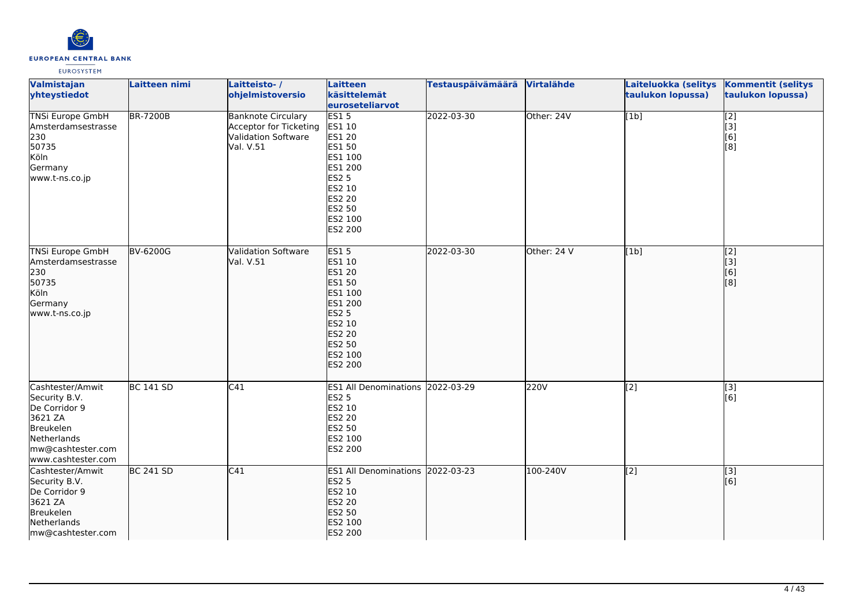

| Valmistajan<br>yhteystiedot                                                                                                          | Laitteen nimi    | Laitteisto-/<br>ohjelmistoversio                                                        | Laitteen<br>käsittelemät<br>euroseteliarvot                                                                                         | <b>Testauspäivämäärä</b> | Virtalähde  | Laiteluokka (selitys<br>taulukon lopussa) | <b>Kommentit (selitys</b><br>taulukon lopussa)                              |
|--------------------------------------------------------------------------------------------------------------------------------------|------------------|-----------------------------------------------------------------------------------------|-------------------------------------------------------------------------------------------------------------------------------------|--------------------------|-------------|-------------------------------------------|-----------------------------------------------------------------------------|
| <b>TNSi Europe GmbH</b><br>Amsterdamsestrasse<br>230<br>50735<br>Köln<br>Germany<br>www.t-ns.co.jp                                   | <b>BR-7200B</b>  | <b>Banknote Circulary</b><br>Acceptor for Ticketing<br>Validation Software<br>Val. V.51 | ES15<br>ES1 10<br><b>ES1 20</b><br>ES1 50<br>ES1 100<br>ES1 200<br>ES2 5<br>ES2 10<br>ES2 20<br>ES2 50<br>ES2 100<br>ES2 200        | 2022-03-30               | Other: 24V  | [1b]                                      | $\begin{bmatrix} 2 \\ 3 \\ 6 \end{bmatrix}$<br>$\overline{[}8]$             |
| <b>TNSi Europe GmbH</b><br>Amsterdamsestrasse<br>230<br>50735<br>Köln<br>Germany<br>www.t-ns.co.jp                                   | <b>BV-6200G</b>  | <b>Validation Software</b><br>Val. V.51                                                 | ES15<br>ES1 10<br>ES1 20<br>ES1 50<br>ES1 100<br>ES1 200<br><b>ES2 5</b><br>ES2 10<br>ES2 20<br>ES2 50<br>ES2 100<br><b>ES2 200</b> | 2022-03-30               | Other: 24 V | [1b]                                      | $\overline{[2]}$<br>$\begin{bmatrix} 1 & 3 \\ 6 & 1 \\ 1 & 6 \end{bmatrix}$ |
| Cashtester/Amwit<br>Security B.V.<br>De Corridor 9<br>3621 ZA<br>Breukelen<br>Netherlands<br>mw@cashtester.com<br>www.cashtester.com | <b>BC 141 SD</b> | $\overline{C41}$                                                                        | ES1 All Denominations 2022-03-29<br><b>ES2 5</b><br>ES2 10<br>ES2 20<br>ES2 50<br>ES2 100<br><b>ES2 200</b>                         |                          | 220V        | [2]                                       | [3]<br>[6]                                                                  |
| Cashtester/Amwit<br>Security B.V.<br>De Corridor 9<br>3621 ZA<br>Breukelen<br>Netherlands<br>mw@cashtester.com                       | <b>BC 241 SD</b> | C41                                                                                     | ES1 All Denominations 2022-03-23<br><b>ES2 5</b><br>ES2 10<br>ES2 20<br>ES2 50<br>ES2 100<br>ES2 200                                |                          | 100-240V    | $\sqrt{2}$                                | $\overline{[3]}$<br>[6]                                                     |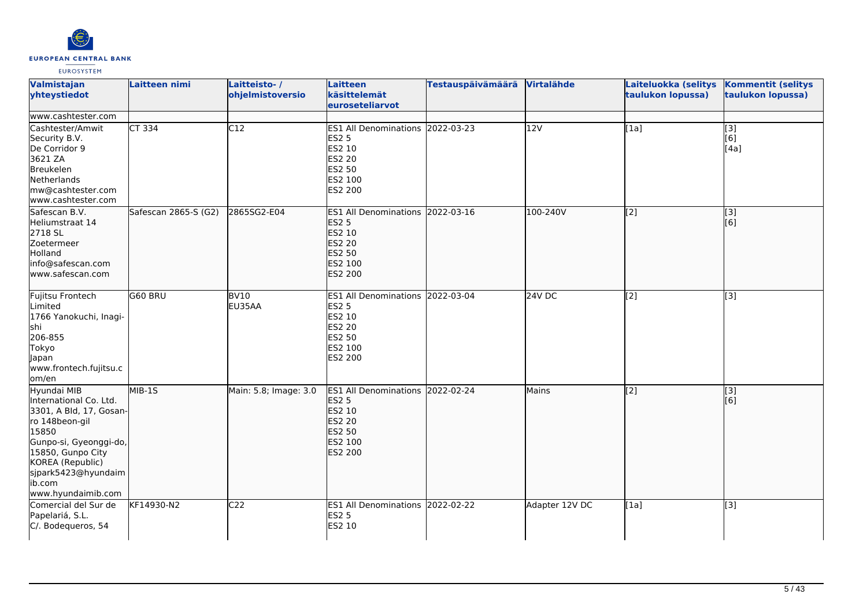

| Valmistajan<br>yhteystiedot                                                                                                                                                                                           | <b>Laitteen nimi</b> | Laitteisto-/<br>ohjelmistoversio | Laitteen<br>käsittelemät<br>euroseteliarvot                                                                        | <b>Testauspäivämäärä</b> | Virtalähde     | Laiteluokka (selitys<br>taulukon lopussa) | <b>Kommentit (selitys</b><br>taulukon lopussa) |
|-----------------------------------------------------------------------------------------------------------------------------------------------------------------------------------------------------------------------|----------------------|----------------------------------|--------------------------------------------------------------------------------------------------------------------|--------------------------|----------------|-------------------------------------------|------------------------------------------------|
| www.cashtester.com                                                                                                                                                                                                    |                      |                                  |                                                                                                                    |                          |                |                                           |                                                |
| Cashtester/Amwit<br>Security B.V.<br>De Corridor 9<br>3621 ZA<br>Breukelen<br>Netherlands<br>mw@cashtester.com<br>www.cashtester.com                                                                                  | <b>CT 334</b>        | $\overline{C12}$                 | ES1 All Denominations 2022-03-23<br><b>ES2 5</b><br>ES2 10<br><b>ES2 20</b><br>ES2 50<br>ES2 100<br>ES2 200        |                          | 12V            | $\overline{[1a]}$                         | $\overline{[}3]$<br>[6]<br>[4a]                |
| Safescan B.V.<br>Heliumstraat 14<br>2718 SL<br>Zoetermeer<br>Holland<br>info@safescan.com<br>lwww.safescan.com                                                                                                        | Safescan 2865-S (G2) | 2865SG2-E04                      | ES1 All Denominations 2022-03-16<br><b>ES2 5</b><br>ES2 10<br><b>ES2 20</b><br><b>ES2 50</b><br>ES2 100<br>ES2 200 |                          | 100-240V       | $\overline{[2]}$                          | $\begin{bmatrix} 3 \\ 6 \end{bmatrix}$         |
| Fujitsu Frontech<br>Limited<br>1766 Yanokuchi, Inagi-<br>shi<br>206-855<br>Tokyo<br>Japan<br>www.frontech.fujitsu.c<br>lom/en                                                                                         | G60 BRU              | <b>BV10</b><br>EU35AA            | ES1 All Denominations 2022-03-04<br><b>ES2 5</b><br>ES2 10<br>ES2 20<br>ES2 50<br>ES2 100<br>ES2 200               |                          | 24V DC         | [2]                                       | [3]                                            |
| Hyundai MIB<br>International Co. Ltd.<br>3301, A Bld, 17, Gosan-<br>ro 148beon-gil<br>15850<br>Gunpo-si, Gyeonggi-do,<br>15850, Gunpo City<br>KOREA (Republic)<br>sjpark5423@hyundaim<br>ib.com<br>www.hyundaimib.com | $MIB-15$             | Main: 5.8; Image: 3.0            | ES1 All Denominations 2022-02-24<br><b>ES2 5</b><br>ES2 10<br><b>ES2 20</b><br>ES2 50<br>ES2 100<br>ES2 200        |                          | Mains          | $\overline{[2]}$                          | $\vert$ [3]<br>[6]                             |
| Comercial del Sur de<br>Papelariá, S.L.<br>C/. Bodequeros, 54                                                                                                                                                         | KF14930-N2           | C <sub>22</sub>                  | ES1 All Denominations 2022-02-22<br><b>ES2 5</b><br>ES2 10                                                         |                          | Adapter 12V DC | [1a]                                      | [3]                                            |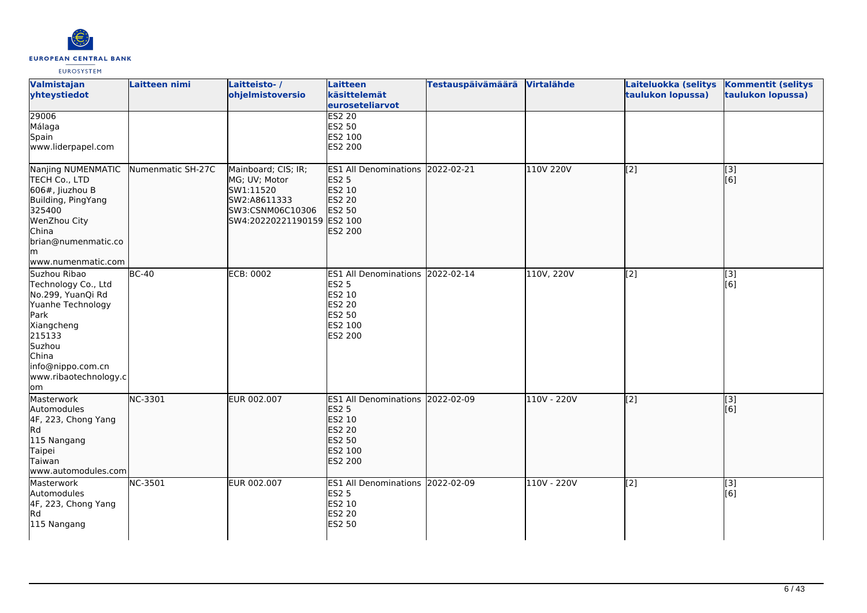

| Valmistajan<br>yhteystiedot                                                                                                                                                           | Laitteen nimi     | Laitteisto-/<br>ohjelmistoversio                                                                                    | Laitteen<br>käsittelemät<br>euroseteliarvot                                                                           | <b>Testauspäivämäärä</b> | Virtalähde  | Laiteluokka (selitys<br>taulukon lopussa) | <b>Kommentit (selitys</b><br>taulukon lopussa) |
|---------------------------------------------------------------------------------------------------------------------------------------------------------------------------------------|-------------------|---------------------------------------------------------------------------------------------------------------------|-----------------------------------------------------------------------------------------------------------------------|--------------------------|-------------|-------------------------------------------|------------------------------------------------|
| 29006<br>Málaga<br>Spain<br>www.liderpapel.com                                                                                                                                        |                   |                                                                                                                     | <b>ES2 20</b><br>ES2 50<br>ES2 100<br>ES2 200                                                                         |                          |             |                                           |                                                |
| Nanjing NUMENMATIC<br>TECH Co., LTD<br>$606$ #, Jiuzhou B<br>Building, PingYang<br>325400<br>WenZhou City<br>China<br>brian@numenmatic.co<br>lm.<br>www.numenmatic.com                | Numenmatic SH-27C | Mainboard; CIS; IR;<br>MG; UV; Motor<br>SW1:11520<br>SW2:A8611333<br>SW3:CSNM06C10306<br>SW4:20220221190159 ES2 100 | ES1 All Denominations 2022-02-21<br><b>ES2 5</b><br><b>ES2 10</b><br><b>ES2 20</b><br><b>ES2 50</b><br><b>ES2 200</b> |                          | 110V 220V   | [2]                                       | [3]<br>[6]                                     |
| Suzhou Ribao<br>Technology Co., Ltd<br>No.299, YuanQi Rd<br>Yuanhe Technology<br>Park<br>Xiangcheng<br>215133<br>Suzhou<br>China<br>info@nippo.com.cn<br>www.ribaotechnology.c<br>lom | $BC-40$           | <b>ECB: 0002</b>                                                                                                    | ES1 All Denominations 2022-02-14<br><b>ES2 5</b><br>ES2 10<br>ES2 20<br>ES2 50<br>ES2 100<br>ES2 200                  |                          | 110V, 220V  | [2]                                       | $\overline{[3]}$<br>[6]                        |
| Masterwork<br>Automodules<br>4F, 223, Chong Yang<br>Rd<br>115 Nangang<br>Taipei<br>Taiwan<br>www.automodules.com                                                                      | NC-3301           | EUR 002.007                                                                                                         | ES1 All Denominations 2022-02-09<br><b>ES2 5</b><br><b>ES2 10</b><br>ES2 20<br>ES2 50<br>ES2 100<br><b>ES2 200</b>    |                          | 110V - 220V | $\overline{[2]}$                          | $\overline{[}3]$<br>[6]                        |
| Masterwork<br>Automodules<br>4F, 223, Chong Yang<br><b>Rd</b><br>115 Nangang                                                                                                          | NC-3501           | EUR 002.007                                                                                                         | ES1 All Denominations 2022-02-09<br><b>ES2 5</b><br>ES2 10<br>ES2 20<br><b>ES2 50</b>                                 |                          | 110V - 220V | [2]                                       | $[3]$<br>[6]                                   |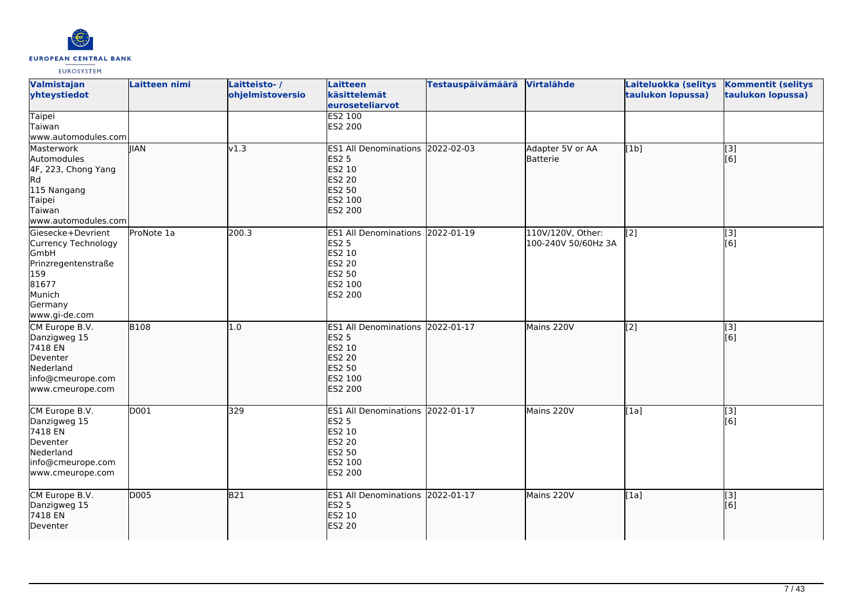

| Valmistajan<br>yhteystiedot                                                                                                   | Laitteen nimi | Laitteisto-/<br>ohjelmistoversio | <b>Laitteen</b><br>käsittelemät<br>euroseteliarvot                                                                        | <b>Testauspäivämäärä</b> | Virtalähde                               | Laiteluokka (selitys<br>taulukon lopussa) | <b>Kommentit (selitys</b><br>taulukon lopussa)            |
|-------------------------------------------------------------------------------------------------------------------------------|---------------|----------------------------------|---------------------------------------------------------------------------------------------------------------------------|--------------------------|------------------------------------------|-------------------------------------------|-----------------------------------------------------------|
| <b>Taipei</b><br>Taiwan<br>www.automodules.com                                                                                |               |                                  | <b>ES2 100</b><br>ES2 200                                                                                                 |                          |                                          |                                           |                                                           |
| Masterwork<br>Automodules<br>4F, 223, Chong Yang<br>Rd<br>115 Nangang<br>Taipei<br>Taiwan<br>www.automodules.com              | <b>IIAN</b>   | v1.3                             | ES1 All Denominations 2022-02-03<br><b>ES2 5</b><br>ES2 10<br><b>ES2 20</b><br><b>ES2 50</b><br>ES2 100<br><b>ES2 200</b> |                          | Adapter 5V or AA<br>Batterie             | [1b]                                      | $\overline{[3]}$<br>[6]                                   |
| Giesecke+Devrient<br>Currency Technology<br>GmbH<br>Prinzregentenstraße<br>159<br>81677<br>Munich<br>Germany<br>www.gi-de.com | ProNote 1a    | 200.3                            | <b>ES1 All Denominations</b><br><b>ES2 5</b><br>ES2 10<br><b>ES2 20</b><br>ES2 50<br>ES2 100<br>ES2 200                   | 2022-01-19               | 110V/120V, Other:<br>100-240V 50/60Hz 3A | [2]                                       | $\overline{[}3]$<br>[6]                                   |
| CM Europe B.V.<br>Danzigweg 15<br>7418 EN<br>Deventer<br>Nederland<br>info@cmeurope.com<br>www.cmeurope.com                   | <b>B108</b>   | 1.0                              | ES1 All Denominations 2022-01-17<br><b>ES2 5</b><br>ES2 10<br><b>ES2 20</b><br><b>ES2 50</b><br>ES2 100<br><b>ES2 200</b> |                          | Mains 220V                               | $\overline{[2]}$                          | $\left[ \begin{matrix} 1 & 3 \end{matrix} \right]$<br>[6] |
| CM Europe B.V.<br>Danzigweg 15<br>7418 EN<br>Deventer<br>Nederland<br>info@cmeurope.com<br>www.cmeurope.com                   | D001          | 329                              | <b>ES1 All Denominations</b><br><b>ES2 5</b><br>ES2 10<br><b>ES2 20</b><br>ES2 50<br>ES2 100<br>ES2 200                   | 2022-01-17               | Mains 220V                               | [1a]                                      | [3]<br>[6]                                                |
| CM Europe B.V.<br>Danzigweg 15<br>7418 EN<br>Deventer                                                                         | D005          | <b>B21</b>                       | ES1 All Denominations 2022-01-17<br><b>ES2 5</b><br>ES2 10<br><b>ES2 20</b>                                               |                          | Mains 220V                               | [1a]                                      | [3]<br>[6]                                                |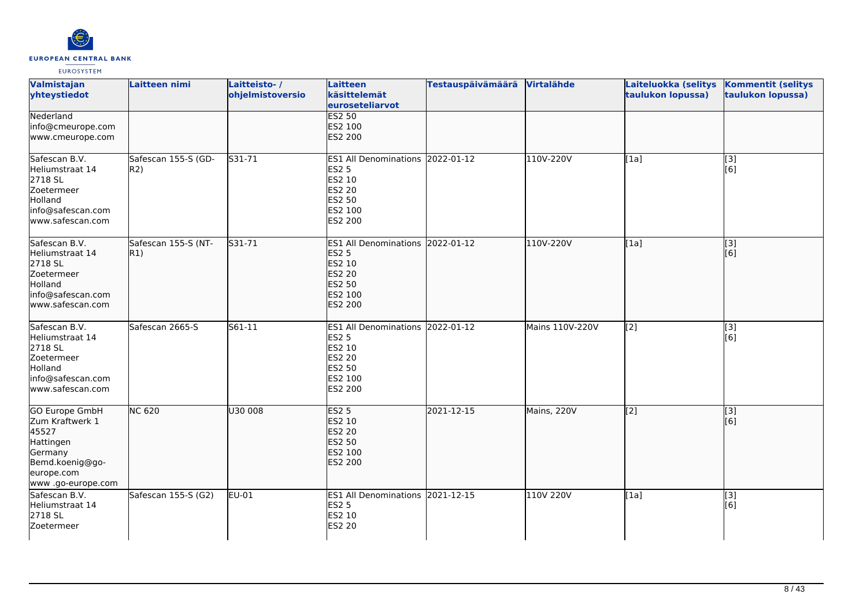

| Valmistajan<br>yhteystiedot                                                                                                      | Laitteen nimi                       | Laitteisto-/<br>ohjelmistoversio | Laitteen<br>käsittelemät<br>euroseteliarvot                                                                        | <b>Testauspäivämäärä</b> | Virtalähde      | Laiteluokka (selitys<br>taulukon lopussa) | <b>Kommentit (selitys</b><br>taulukon lopussa)            |
|----------------------------------------------------------------------------------------------------------------------------------|-------------------------------------|----------------------------------|--------------------------------------------------------------------------------------------------------------------|--------------------------|-----------------|-------------------------------------------|-----------------------------------------------------------|
| Nederland<br>info@cmeurope.com<br>www.cmeurope.com                                                                               |                                     |                                  | <b>ES2 50</b><br>ES2 100<br><b>ES2 200</b>                                                                         |                          |                 |                                           |                                                           |
| Safescan B.V.<br>Heliumstraat 14<br>2718 SL<br>Zoetermeer<br>Holland<br>info@safescan.com<br>www.safescan.com                    | Safescan 155-S (GD-<br>R2)          | $531 - 71$                       | ES1 All Denominations 2022-01-12<br><b>ES2 5</b><br>ES2 10<br><b>ES2 20</b><br>ES2 50<br>ES2 100<br>ES2 200        |                          | 110V-220V       | [1a]                                      | [3]<br>[6]                                                |
| Safescan B.V.<br>Heliumstraat 14<br>2718 SL<br>Zoetermeer<br>Holland<br>info@safescan.com<br>www.safescan.com                    | Safescan 155-S (NT-<br>$ R1\rangle$ | S31-71                           | ES1 All Denominations 2022-01-12<br><b>ES2 5</b><br>ES2 10<br>ES2 20<br><b>ES2 50</b><br>ES2 100<br><b>ES2 200</b> |                          | 110V-220V       | [1a]                                      | [3]<br>[6]                                                |
| Safescan B.V.<br>Heliumstraat 14<br>2718 SL<br>Zoetermeer<br>Holland<br>info@safescan.com<br>www.safescan.com                    | Safescan 2665-S                     | S61-11                           | <b>ES1 All Denominations</b><br><b>ES2 5</b><br>ES2 10<br>ES2 20<br>ES2 50<br>ES2 100<br>ES2 200                   | 2022-01-12               | Mains 110V-220V | [2]                                       | $\left[ \begin{matrix} 1 & 3 \end{matrix} \right]$<br>[6] |
| <b>GO Europe GmbH</b><br>Zum Kraftwerk 1<br>45527<br>Hattingen<br>Germany<br>Bemd.koenig@go-<br>europe.com<br>www .go-europe.com | <b>NC 620</b>                       | U30 008                          | ES2 <sub>5</sub><br>ES2 10<br>ES2 20<br>ES2 50<br>ES2 100<br><b>ES2 200</b>                                        | 2021-12-15               | Mains, 220V     | $\overline{[2]}$                          | $\overline{[3]}$<br>[6]                                   |
| Safescan B.V.<br>Heliumstraat 14<br>2718 SL<br>Zoetermeer                                                                        | Safescan 155-S (G2)                 | EU-01                            | ES1 All Denominations 2021-12-15<br>ES2 5<br>ES2 10<br>ES2 20                                                      |                          | 110V 220V       | [1a]                                      | $\overline{[}3]$<br>[6]                                   |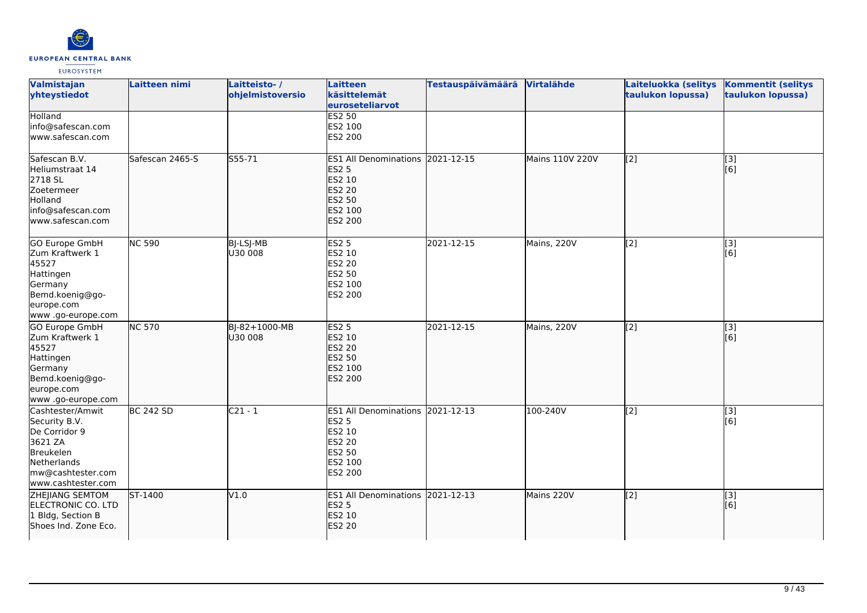

| Valmistajan<br>yhteystiedot                                                                                                          | Laitteen nimi    | Laitteisto-/<br>ohjelmistoversio | Laitteen<br>käsittelemät<br>euroseteliarvot                                                                 | <b>Testauspäivämäärä</b> | Virtalähde      | Laiteluokka (selitys<br>taulukon lopussa) | <b>Kommentit (selitys</b><br>taulukon lopussa) |
|--------------------------------------------------------------------------------------------------------------------------------------|------------------|----------------------------------|-------------------------------------------------------------------------------------------------------------|--------------------------|-----------------|-------------------------------------------|------------------------------------------------|
| Holland<br>info@safescan.com<br>www.safescan.com                                                                                     |                  |                                  | <b>ES2 50</b><br>ES2 100<br>ES2 200                                                                         |                          |                 |                                           |                                                |
| Safescan B.V.<br>Heliumstraat 14<br>2718 SL<br>Zoetermeer<br>Holland<br>info@safescan.com<br>www.safescan.com                        | Safescan 2465-S  | $555 - 71$                       | ES1 All Denominations 2021-12-15<br><b>ES2 5</b><br>ES2 10<br><b>ES2 20</b><br>ES2 50<br>ES2 100<br>ES2 200 |                          | Mains 110V 220V | $\overline{[2]}$                          | $\overline{[}3]$<br>[6]                        |
| <b>GO Europe GmbH</b><br>Zum Kraftwerk 1<br>45527<br>Hattingen<br>Germany<br>Bemd.koenig@go-<br>europe.com<br>www.go-europe.com      | <b>NC 590</b>    | BJ-LSJ-MB<br>U30 008             | <b>ES2 5</b><br>ES2 10<br><b>ES2 20</b><br>ES2 50<br>ES2 100<br>ES2 200                                     | 2021-12-15               | Mains, 220V     | $\overline{[2]}$                          | $\overline{[}3]$<br>[6]                        |
| GO Europe GmbH<br>Zum Kraftwerk 1<br>45527<br>Hattingen<br>Germany<br>Bemd.koenig@go-<br>leurope.com<br>www.go-europe.com            | <b>NC 570</b>    | BJ-82+1000-MB<br>U30 008         | <b>ES2 5</b><br>ES2 10<br><b>ES2 20</b><br>ES2 50<br>ES2 100<br>ES2 200                                     | 2021-12-15               | Mains, 220V     | $\sqrt{2}$                                | [3]<br>[6]                                     |
| Cashtester/Amwit<br>Security B.V.<br>De Corridor 9<br>3621 ZA<br>Breukelen<br>Netherlands<br>mw@cashtester.com<br>www.cashtester.com | <b>BC 242 SD</b> | $C21 - 1$                        | ES1 All Denominations 2021-12-13<br><b>ES2 5</b><br>ES2 10<br>ES2 20<br>ES2 50<br>ES2 100<br>ES2 200        |                          | 100-240V        | [2]                                       | $\overline{[3]}$<br>[6]                        |
| ZHEJIANG SEMTOM<br>ELECTRONIC CO. LTD<br>1 Bldg, Section B<br>Shoes Ind. Zone Eco.                                                   | ST-1400          | V1.0                             | ES1 All Denominations 2021-12-13<br><b>ES2 5</b><br>ES2 10<br><b>ES2 20</b>                                 |                          | Mains 220V      | [2]                                       | [3]<br>[6]                                     |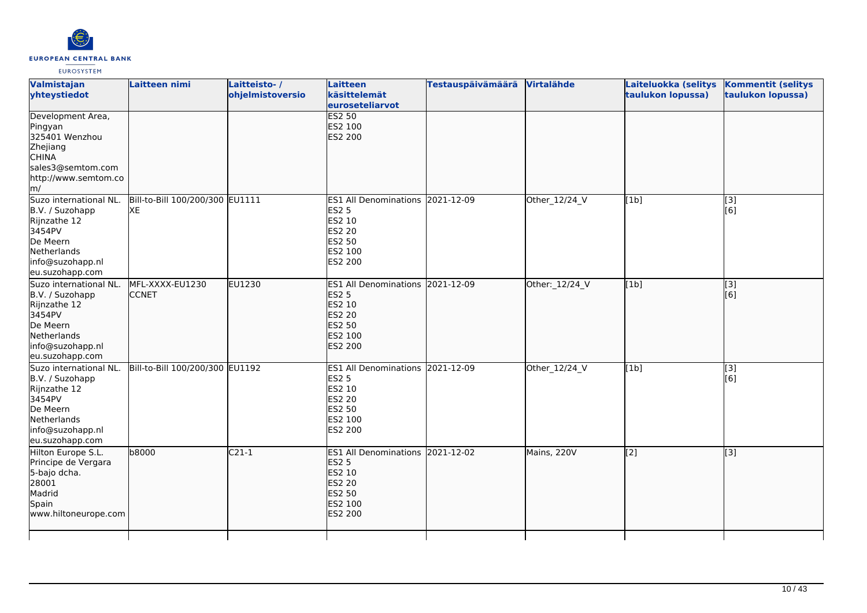

| Valmistajan<br>yhteystiedot                                                                                                           | Laitteen nimi                         | Laitteisto-/<br>ohjelmistoversio | <b>Laitteen</b><br>käsittelemät<br>euroseteliarvot                                                                    | <b>Testauspäivämäärä</b> | Virtalähde     | Laiteluokka (selitys<br>taulukon lopussa) | <b>Kommentit (selitys</b><br>taulukon lopussa) |
|---------------------------------------------------------------------------------------------------------------------------------------|---------------------------------------|----------------------------------|-----------------------------------------------------------------------------------------------------------------------|--------------------------|----------------|-------------------------------------------|------------------------------------------------|
| Development Area,<br>Pingyan<br>325401 Wenzhou<br>Zhejiang<br><b>CHINA</b><br>sales3@semtom.com<br>http://www.semtom.co<br>m/         |                                       |                                  | <b>ES2 50</b><br>ES2 100<br><b>ES2 200</b>                                                                            |                          |                |                                           |                                                |
| Suzo international NL.<br>B.V. / Suzohapp<br>Rijnzathe 12<br>3454PV<br>De Meern<br>Netherlands<br>info@suzohapp.nl<br>eu.suzohapp.com | Bill-to-Bill 100/200/300 EU1111<br>XE |                                  | ES1 All Denominations 2021-12-09<br><b>ES2 5</b><br>ES2 10<br><b>ES2 20</b><br>ES2 50<br>ES2 100<br>ES2 200           |                          | Other_12/24_V  | [1b]                                      | $[3]$<br>[6]                                   |
| Suzo international NL.<br>B.V. / Suzohapp<br>Rijnzathe 12<br>3454PV<br>De Meern<br>Netherlands<br>info@suzohapp.nl<br>eu.suzohapp.com | MFL-XXXX-EU1230<br><b>CCNET</b>       | EU1230                           | <b>ES1 All Denominations</b><br><b>ES2 5</b><br>ES2 10<br><b>ES2 20</b><br><b>ES2 50</b><br>ES2 100<br><b>ES2 200</b> | 2021-12-09               | Other:_12/24_V | [1b]                                      | [3]<br>[6]                                     |
| Suzo international NL.<br>B.V. / Suzohapp<br>Rijnzathe 12<br>3454PV<br>De Meern<br>Netherlands<br>info@suzohapp.nl<br>eu.suzohapp.com | Bill-to-Bill 100/200/300 EU1192       |                                  | ES1 All Denominations 2021-12-09<br><b>ES2 5</b><br>ES2 10<br><b>ES2 20</b><br>ES2 50<br>ES2 100<br>ES2 200           |                          | Other_12/24_V  | [1b]                                      | $\overline{[3]}$<br>[6]                        |
| Hilton Europe S.L.<br>Principe de Vergara<br>5-bajo dcha.<br>28001<br>Madrid<br>Spain<br>www.hiltoneurope.com                         | b8000                                 | $C21-1$                          | <b>ES1 All Denominations</b><br><b>ES2 5</b><br>ES2 10<br><b>ES2 20</b><br>ES2 50<br>ES2 100<br>ES2 200               | 2021-12-02               | Mains, 220V    | $\overline{[2]}$                          | $\overline{[}3]$                               |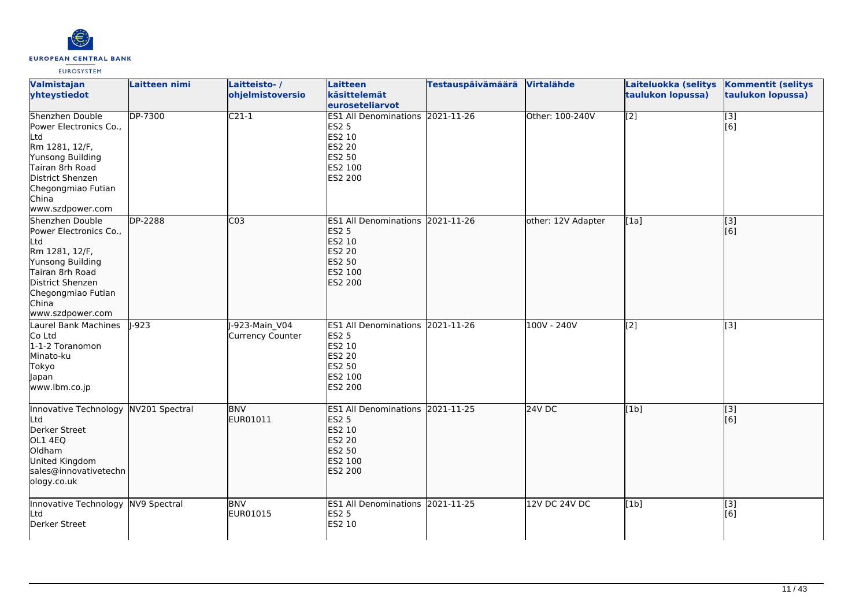

| Valmistajan<br>yhteystiedot                                                                                                                                                      | Laitteen nimi  | Laitteisto-/<br>ohjelmistoversio  | Laitteen<br>käsittelemät                                                                                           | Testauspäivämäärä Virtalähde |                    | Laiteluokka (selitys<br>taulukon lopussa) | <b>Kommentit (selitys</b><br>taulukon lopussa) |
|----------------------------------------------------------------------------------------------------------------------------------------------------------------------------------|----------------|-----------------------------------|--------------------------------------------------------------------------------------------------------------------|------------------------------|--------------------|-------------------------------------------|------------------------------------------------|
|                                                                                                                                                                                  |                |                                   | euroseteliarvot                                                                                                    |                              |                    |                                           |                                                |
| Shenzhen Double<br>Power Electronics Co.,<br>Ltd<br>Rm 1281, 12/F,<br>Yunsong Building<br>Tairan 8rh Road<br>District Shenzen<br>Chegongmiao Futian<br>China<br>www.szdpower.com | <b>DP-7300</b> | $C21-1$                           | <b>ES1 All Denominations 2021-11-26</b><br><b>ES2 5</b><br>ES2 10<br><b>ES2 20</b><br>ES2 50<br>ES2 100<br>ES2 200 |                              | Other: 100-240V    | $\overline{[2]}$                          | $\overline{[}3]$<br>[6]                        |
| Shenzhen Double<br>Power Electronics Co.,<br>Ltd<br>Rm 1281, 12/F,<br>Yunsong Building<br>Tairan 8rh Road<br>District Shenzen<br>Chegongmiao Futian<br>China<br>www.szdpower.com | <b>DP-2288</b> | CO <sub>3</sub>                   | ES1 All Denominations 2021-11-26<br><b>ES2 5</b><br>ES2 10<br><b>ES2 20</b><br>ES2 50<br>ES2 100<br>ES2 200        |                              | other: 12V Adapter | [1a]                                      | $\overline{[3]}$<br>[6]                        |
| Laurel Bank Machines<br>Co Ltd<br>1-1-2 Toranomon<br>Minato-ku<br>Tokyo<br>Japan<br>www.lbm.co.jp                                                                                | $-923$         | -923-Main V04<br>Currency Counter | ES1 All Denominations 2021-11-26<br><b>ES2 5</b><br>ES2 10<br>ES2 20<br>ES2 50<br>ES2 100<br>ES2 200               |                              | 100V - 240V        | $\overline{[2]}$                          | [3]                                            |
| Innovative Technology NV201 Spectral<br>Ltd<br>Derker Street<br>OL1 4EQ<br>Oldham<br>United Kingdom<br>sales@innovativetechn<br>ology.co.uk                                      |                | <b>BNV</b><br>EUR01011            | ES1 All Denominations 2021-11-25<br><b>ES2 5</b><br>ES2 10<br><b>ES2 20</b><br>ES2 50<br>ES2 100<br>ES2 200        |                              | 24V DC             | [1b]                                      | [3]<br>[6]                                     |
| Innovative Technology NV9 Spectral<br>Ltd<br>Derker Street                                                                                                                       |                | <b>BNV</b><br>EUR01015            | ES1 All Denominations 2021-11-25<br><b>ES2 5</b><br>ES2 10                                                         |                              | 12V DC 24V DC      | [1b]                                      | $\overline{[}3]$<br>[6]                        |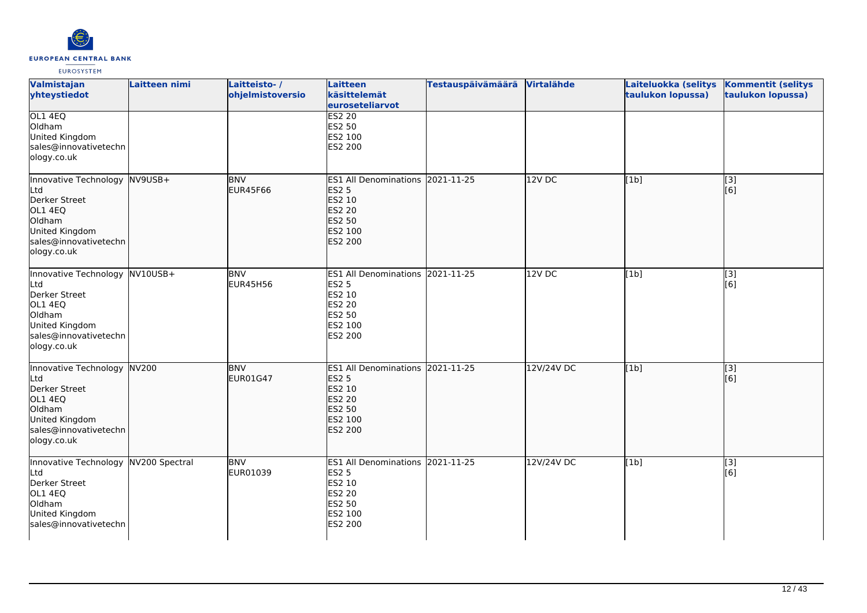

| Valmistajan<br>yhteystiedot                                                                                                           | Laitteen nimi | Laitteisto-/<br>ohjelmistoversio | Laitteen<br>käsittelemät<br>euroseteliarvot                                                                        | <b>Testauspäivämäärä</b> | Virtalähde        | Laiteluokka (selitys<br>taulukon lopussa) | <b>Kommentit (selitys</b><br>taulukon lopussa) |
|---------------------------------------------------------------------------------------------------------------------------------------|---------------|----------------------------------|--------------------------------------------------------------------------------------------------------------------|--------------------------|-------------------|-------------------------------------------|------------------------------------------------|
| OL1 4EQ<br>Oldham<br>United Kingdom<br>sales@innovativetechn<br>ology.co.uk                                                           |               |                                  | <b>ES2 20</b><br>ES2 50<br>ES2 100<br>ES2 200                                                                      |                          |                   |                                           |                                                |
| Innovative Technology NV9USB+<br>Ltd<br>Derker Street<br>OL1 4EQ<br>Oldham<br>United Kingdom<br>sales@innovativetechn<br>ology.co.uk  |               | <b>BNV</b><br><b>EUR45F66</b>    | <b>ES1 All Denominations</b><br><b>ES2 5</b><br>ES2 10<br>ES2 20<br><b>ES2 50</b><br>ES2 100<br><b>ES2 200</b>     | 2021-11-25               | 12V <sub>DC</sub> | [1b]                                      | [3]<br>[6]                                     |
| Innovative Technology NV10USB+<br>Ltd<br>Derker Street<br>OL1 4EQ<br>Oldham<br>United Kingdom<br>sales@innovativetechn<br>ology.co.uk |               | <b>BNV</b><br>EUR45H56           | ES1 All Denominations 2021-11-25<br><b>ES2 5</b><br>ES2 10<br>ES2 20<br><b>ES2 50</b><br>ES2 100<br>ES2 200        |                          | 12VDC             | [1b]                                      | [3]<br>[6]                                     |
| Innovative Technology NV200<br>Ltd<br>Derker Street<br>OL1 4EQ<br>Oldham<br>United Kingdom<br>sales@innovativetechn<br>ology.co.uk    |               | <b>BNV</b><br>EUR01G47           | ES1 All Denominations 2021-11-25<br><b>ES2 5</b><br>ES2 10<br><b>ES2 20</b><br>ES2 50<br>ES2 100<br><b>ES2 200</b> |                          | 12V/24V DC        | [1b]                                      | $\overline{[}3]$<br>[6]                        |
| Innovative Technology NV200 Spectral<br>Ltd<br>Derker Street<br>OL1 4EQ<br>Oldham<br>United Kingdom<br>sales@innovativetechn          |               | <b>BNV</b><br>EUR01039           | <b>ES1 All Denominations</b><br><b>ES2 5</b><br>ES2 10<br>ES2 20<br>ES2 50<br>ES2 100<br>ES2 200                   | 2021-11-25               | 12V/24V DC        | [1b]                                      | [3]<br>[6]                                     |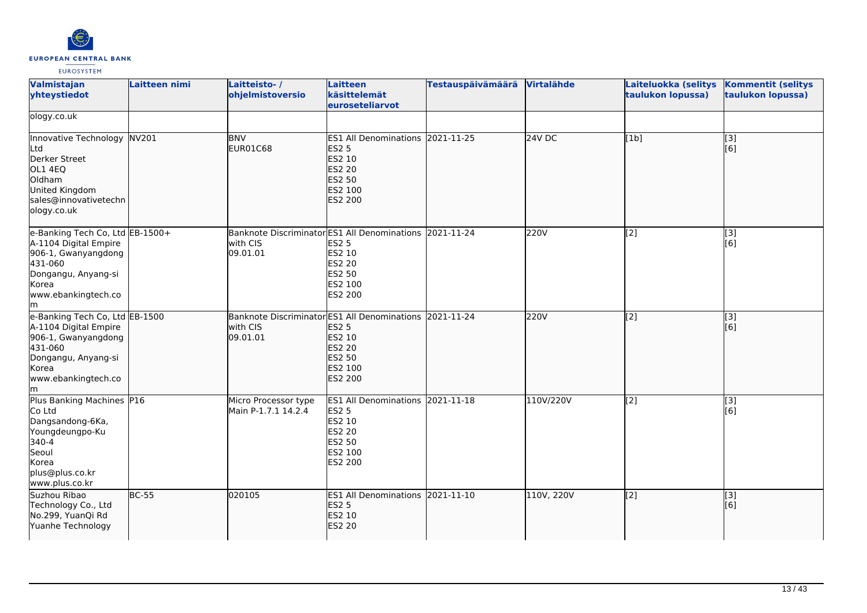

| Valmistajan<br>yhteystiedot                                                                                                                             | Laitteen nimi | Laitteisto-/<br>ohjelmistoversio            | Laitteen<br>käsittelemät<br>euroseteliarvot                                                                                               | <b>Testauspäivämäärä</b> | Virtalähde    | Laiteluokka (selitys<br>taulukon lopussa) | <b>Kommentit (selitys</b><br>taulukon lopussa) |
|---------------------------------------------------------------------------------------------------------------------------------------------------------|---------------|---------------------------------------------|-------------------------------------------------------------------------------------------------------------------------------------------|--------------------------|---------------|-------------------------------------------|------------------------------------------------|
| ology.co.uk                                                                                                                                             |               |                                             |                                                                                                                                           |                          |               |                                           |                                                |
| Innovative Technology NV201<br>Ltd<br>Derker Street<br>OL1 4EQ<br>Oldham<br>United Kingdom<br>sales@innovativetechn<br>ology.co.uk                      |               | <b>BNV</b><br>EUR01C68                      | ES1 All Denominations 2021-11-25<br><b>ES2 5</b><br>ES2 10<br>ES2 20<br>ES2 50<br>ES2 100<br><b>ES2 200</b>                               |                          | <b>24V DC</b> | [1b]                                      | $\begin{bmatrix} 3 \\ 6 \end{bmatrix}$         |
| e-Banking Tech Co, Ltd EB-1500+<br>A-1104 Digital Empire<br>906-1, Gwanyangdong<br>431-060<br>Dongangu, Anyang-si<br>Korea<br>www.ebankingtech.co<br>lm |               | with CIS<br>09.01.01                        | Banknote Discriminator ES1 All Denominations 2021-11-24<br><b>ES2 5</b><br>ES2 10<br>ES2 20<br>ES2 50<br>ES2 100<br>ES2 200               |                          | 220V          | [2]                                       | $\overline{[}3]$<br>[6]                        |
| e-Banking Tech Co, Ltd EB-1500<br>A-1104 Digital Empire<br>906-1, Gwanyangdong<br>431-060<br>Dongangu, Anyang-si<br>Korea<br>www.ebankingtech.co<br>lm. |               | with CIS<br>09.01.01                        | Banknote Discriminator ES1 All Denominations 2021-11-24<br><b>ES2 5</b><br>ES2 10<br>ES2 20<br><b>ES2 50</b><br>ES2 100<br><b>ES2 200</b> |                          | 220V          | $\overline{[2]}$                          | $\overline{[3]}$<br>[6]                        |
| Plus Banking Machines P16<br>Co Ltd<br>Dangsandong-6Ka,<br>Youngdeungpo-Ku<br>340-4<br>Seoul<br>Korea<br>plus@plus.co.kr<br>www.plus.co.kr              |               | Micro Processor type<br>Main P-1.7.1 14.2.4 | <b>ES1 All Denominations</b><br><b>ES2 5</b><br>ES2 10<br>ES2 20<br>ES2 50<br>ES2 100<br>ES2 200                                          | 2021-11-18               | 110V/220V     | $\left[2\right]$                          | [3]<br>[6]                                     |
| Suzhou Ribao<br>Technology Co., Ltd<br>No.299, YuanQi Rd<br>Yuanhe Technology                                                                           | $BC-55$       | 020105                                      | ES1 All Denominations 2021-11-10<br><b>ES2 5</b><br>ES2 10<br><b>ES2 20</b>                                                               |                          | 110V, 220V    | $\left[2\right]$                          | [3]<br>[6]                                     |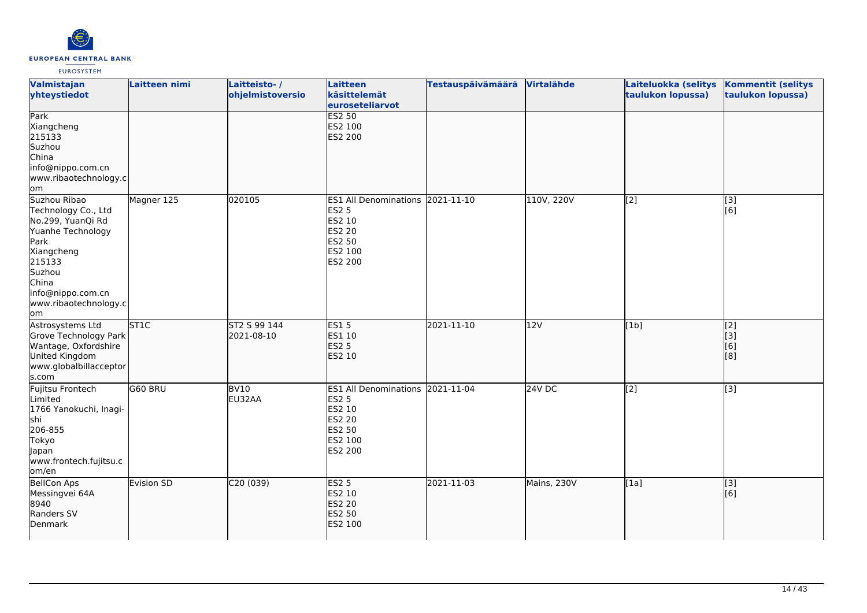

| Valmistajan<br>yhteystiedot                                                                                                                                                           | Laitteen nimi | Laitteisto-/<br>ohjelmistoversio | <b>Laitteen</b><br>käsittelemät<br>euroseteliarvot                                                      | <b>Testauspäivämäärä</b> | Virtalähde  | Laiteluokka (selitys<br>taulukon lopussa) | <b>Kommentit (selitys</b><br>taulukon lopussa) |
|---------------------------------------------------------------------------------------------------------------------------------------------------------------------------------------|---------------|----------------------------------|---------------------------------------------------------------------------------------------------------|--------------------------|-------------|-------------------------------------------|------------------------------------------------|
| Park<br>Xiangcheng<br>215133<br>Suzhou<br>China<br>info@nippo.com.cn<br>www.ribaotechnology.c<br>lom                                                                                  |               |                                  | <b>ES2 50</b><br>ES2 100<br><b>ES2 200</b>                                                              |                          |             |                                           |                                                |
| Suzhou Ribao<br>Technology Co., Ltd<br>No.299, YuanQi Rd<br>Yuanhe Technology<br>Park<br>Xiangcheng<br>215133<br>Suzhou<br>China<br>info@nippo.com.cn<br>www.ribaotechnology.c<br>lom | Magner 125    | 020105                           | <b>ES1 All Denominations</b><br><b>ES2 5</b><br>ES2 10<br><b>ES2 20</b><br>ES2 50<br>ES2 100<br>ES2 200 | 2021-11-10               | 110V, 220V  | [2]                                       | $\boxed{[3]}$<br>[6]                           |
| Astrosystems Ltd<br>Grove Technology Park<br>Wantage, Oxfordshire<br>United Kingdom<br>www.globalbillacceptor<br>s.com                                                                | <b>ST1C</b>   | ST2 S 99 144<br>2021-08-10       | <b>ES15</b><br>ES1 10<br><b>ES2 5</b><br>ES2 10                                                         | 2021-11-10               | 12V         | [1b]                                      | $\overline{[2]}$<br>[3]<br>[6]<br>[8]          |
| Fujitsu Frontech<br>Limited<br>1766 Yanokuchi, Inagi-<br>shi<br>206-855<br>Tokyo<br>Japan<br>www.frontech.fujitsu.c<br>om/en                                                          | G60 BRU       | BV10<br>EU32AA                   | <b>ES1 All Denominations</b><br><b>ES2 5</b><br>ES2 10<br>ES2 20<br>ES2 50<br>ES2 100<br>ES2 200        | 2021-11-04               | 24V DC      | $\sqrt{2}$                                | [3]                                            |
| <b>BellCon Aps</b><br>Messingvei 64A<br>8940<br>Randers SV<br>Denmark                                                                                                                 | Evision SD    | C20(039)                         | <b>ES2 5</b><br>ES2 10<br>ES2 20<br>ES2 50<br>ES2 100                                                   | 2021-11-03               | Mains, 230V | [1a]                                      | $\overline{[3]}$<br>[6]                        |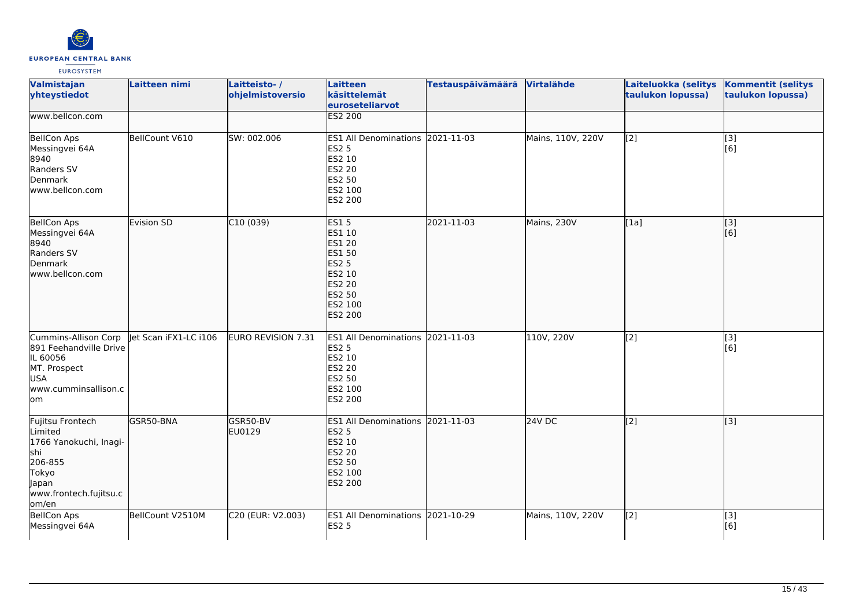

| Valmistajan<br>yhteystiedot                                                                                                   | Laitteen nimi         | Laitteisto-/<br>ohjelmistoversio | Laitteen<br>käsittelemät<br>euroseteliarvot                                                                                 | <b>Testauspäivämäärä</b> | Virtalähde        | Laiteluokka (selitys<br>taulukon lopussa) | <b>Kommentit (selitys</b><br>taulukon lopussa)  |
|-------------------------------------------------------------------------------------------------------------------------------|-----------------------|----------------------------------|-----------------------------------------------------------------------------------------------------------------------------|--------------------------|-------------------|-------------------------------------------|-------------------------------------------------|
| www.bellcon.com                                                                                                               |                       |                                  | ES2 200                                                                                                                     |                          |                   |                                           |                                                 |
| <b>BellCon Aps</b><br>Messingvei 64A<br>8940<br>Randers SV<br>Denmark<br>lwww.bellcon.com                                     | BellCount V610        | SW: 002.006                      | ES1 All Denominations 2021-11-03<br><b>ES2 5</b><br>ES2 10<br><b>ES2 20</b><br><b>ES2 50</b><br>ES2 100<br>ES2 200          |                          | Mains, 110V, 220V | $\overline{[2]}$                          | $\begin{bmatrix} 3 \\ 6 \end{bmatrix}$          |
| <b>BellCon Aps</b><br>Messingvei 64A<br>8940<br>Randers SV<br>Denmark<br>lwww.bellcon.com                                     | <b>Evision SD</b>     | C10(039)                         | <b>ES15</b><br>ES1 10<br>ES1 20<br><b>ES1 50</b><br><b>ES2 5</b><br>ES2 10<br><b>ES2 20</b><br>ES2 50<br>ES2 100<br>ES2 200 | 2021-11-03               | Mains, 230V       | [1a]                                      | $\overline{[}3]$<br>$\overline{[}6\overline{)}$ |
| Cummins-Allison Corp<br>891 Feehandville Drive<br>IL 60056<br>MT. Prospect<br><b>USA</b><br>www.cumminsallison.c<br>lom       | let Scan iFX1-LC i106 | <b>EURO REVISION 7.31</b>        | ES1 All Denominations 2021-11-03<br><b>ES2 5</b><br>ES2 10<br><b>ES2 20</b><br>ES2 50<br>ES2 100<br>ES2 200                 |                          | 110V, 220V        | $\overline{[2]}$                          | $\overline{[3]}$<br>[6]                         |
| Fujitsu Frontech<br>Limited<br>1766 Yanokuchi, Inagi-<br>lshi<br>206-855<br>Tokyo<br>Japan<br>www.frontech.fujitsu.c<br>om/en | GSR50-BNA             | GSR50-BV<br>EU0129               | ES1 All Denominations 2021-11-03<br><b>ES2 5</b><br>ES2 10<br><b>ES2 20</b><br><b>ES2 50</b><br>ES2 100<br>ES2 200          |                          | 24V DC            | [2]                                       | $\overline{[3]}$                                |
| <b>BellCon Aps</b><br>Messingvei 64A                                                                                          | BellCount V2510M      | C20 (EUR: V2.003)                | ES1 All Denominations 2021-10-29<br><b>ES2 5</b>                                                                            |                          | Mains, 110V, 220V | [2]                                       | [3]<br>[6]                                      |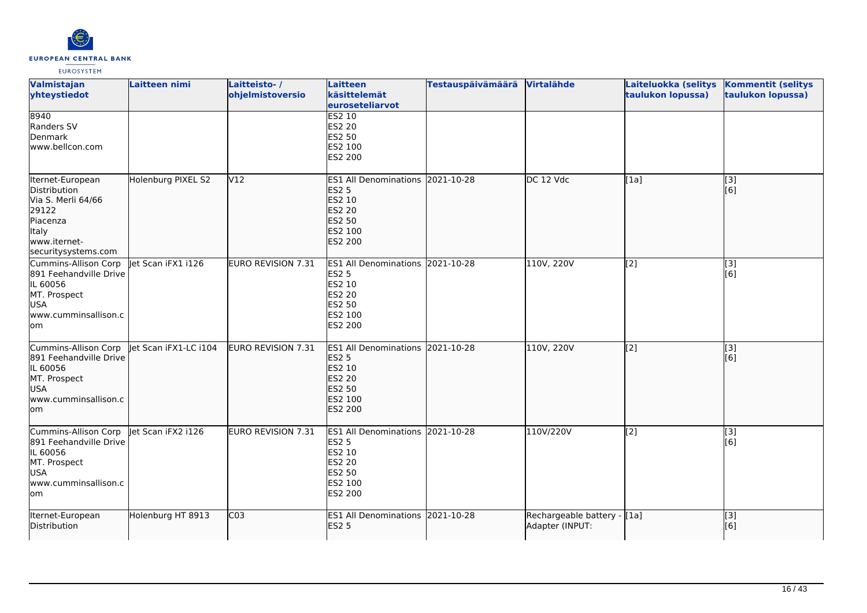

| Valmistajan<br>yhteystiedot                                                                                                 | Laitteen nimi         | Laitteisto-/<br>ohjelmistoversio | <b>Laitteen</b><br>käsittelemät<br>euroseteliarvot                                                                    | Testauspäivämäärä Virtalähde |                                                 | Laiteluokka (selitys<br>taulukon lopussa) | <b>Kommentit (selitys</b><br>taulukon lopussa) |
|-----------------------------------------------------------------------------------------------------------------------------|-----------------------|----------------------------------|-----------------------------------------------------------------------------------------------------------------------|------------------------------|-------------------------------------------------|-------------------------------------------|------------------------------------------------|
| 8940<br>Randers SV<br>Denmark<br>www.bellcon.com                                                                            |                       |                                  | <b>ES2 10</b><br><b>ES2 20</b><br>ES2 50<br>ES2 100<br>ES2 200                                                        |                              |                                                 |                                           |                                                |
| Iternet-European<br>Distribution<br>Via S. Merli 64/66<br>29122<br>Piacenza<br>Italy<br>www.iternet-<br>securitysystems.com | Holenburg PIXEL S2    | V <sub>12</sub>                  | <b>ES1 All Denominations</b><br><b>ES2 5</b><br>ES2 10<br><b>ES2 20</b><br><b>ES2 50</b><br>ES2 100<br><b>ES2 200</b> | 2021-10-28                   | DC 12 Vdc                                       | [[1a]                                     | [[3]<br>[[6]                                   |
| Cummins-Allison Corp<br>891 Feehandville Drive<br>IL 60056<br>MT. Prospect<br><b>USA</b><br>www.cumminsallison.c<br>lom     | let Scan iFX1 i126    | <b>EURO REVISION 7.31</b>        | ES1 All Denominations 2021-10-28<br><b>ES2 5</b><br>ES2 10<br><b>ES2 20</b><br><b>ES2 50</b><br>ES2 100<br>ES2 200    |                              | 110V, 220V                                      | $\overline{[2]}$                          | $\overline{[3]}$<br>[6]                        |
| Cummins-Allison Corp<br>891 Feehandville Drive<br>IL 60056<br>MT. Prospect<br><b>USA</b><br>www.cumminsallison.c<br>lom     | let Scan iFX1-LC i104 | <b>EURO REVISION 7.31</b>        | <b>ES1 All Denominations</b><br><b>ES2 5</b><br>ES2 10<br><b>ES2 20</b><br><b>ES2 50</b><br>ES2 100<br><b>ES2 200</b> | 2021-10-28                   | 110V, 220V                                      | [2]                                       | [3]<br>[6]                                     |
| Cummins-Allison Corp<br>891 Feehandville Drive<br>IL 60056<br>MT. Prospect<br><b>USA</b><br>www.cumminsallison.c<br>lom     | let Scan iFX2 i126    | EURO REVISION 7.31               | <b>ES1 All Denominations</b><br><b>ES2 5</b><br>ES2 10<br><b>ES2 20</b><br><b>ES2 50</b><br>ES2 100<br>ES2 200        | 2021-10-28                   | 110V/220V                                       | [2]                                       | [3]<br>[6]                                     |
| Iternet-European<br>Distribution                                                                                            | Holenburg HT 8913     | CO <sub>3</sub>                  | ES1 All Denominations 2021-10-28<br><b>ES2 5</b>                                                                      |                              | Rechargeable battery - [[1a]<br>Adapter (INPUT: |                                           | [[3]<br>[6]                                    |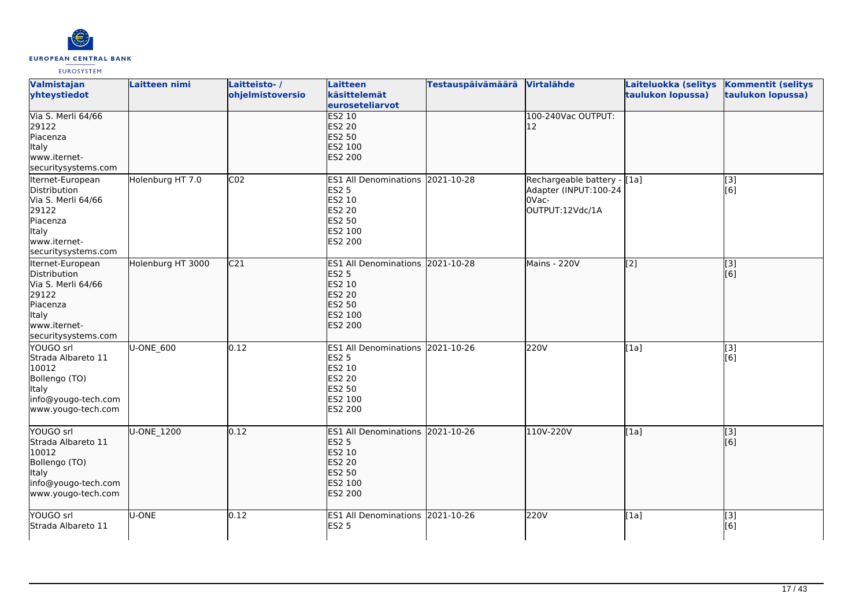

| Valmistajan<br>yhteystiedot                                                                                                        | Laitteen nimi     | Laitteisto-/<br>ohjelmistoversio | Laitteen<br>käsittelemät<br>euroseteliarvot                                                                               | <b>Testauspäivämäärä</b> | Virtalähde                                                                        | Laiteluokka (selitys<br>taulukon lopussa) | <b>Kommentit (selitys</b><br>taulukon lopussa) |
|------------------------------------------------------------------------------------------------------------------------------------|-------------------|----------------------------------|---------------------------------------------------------------------------------------------------------------------------|--------------------------|-----------------------------------------------------------------------------------|-------------------------------------------|------------------------------------------------|
| Via S. Merli 64/66<br>29122<br>Piacenza<br>Italy<br>www.iternet-<br>securitysystems.com                                            |                   |                                  | <b>ES2 10</b><br><b>ES2 20</b><br>ES2 50<br>ES2 100<br>ES2 200                                                            |                          | 100-240Vac OUTPUT:<br>12                                                          |                                           |                                                |
| Iternet-European<br><b>Distribution</b><br>Via S. Merli 64/66<br>29122<br>Piacenza<br>Italy<br>www.iternet-<br>securitysystems.com | Holenburg HT 7.0  | CO <sub>2</sub>                  | <b>ES1 All Denominations</b><br><b>ES2 5</b><br>ES2 10<br>ES2 20<br>ES2 50<br>ES2 100<br>ES2 200                          | 2021-10-28               | Rechargeable battery - [[1a]<br>Adapter (INPUT:100-24<br>0Vac-<br>OUTPUT:12Vdc/1A |                                           | [3]<br>[6]                                     |
| Iternet-European<br>Distribution<br>Via S. Merli 64/66<br>29122<br>Piacenza<br><b>Italy</b><br>www.iternet-<br>securitysystems.com | Holenburg HT 3000 | C <sub>21</sub>                  | ES1 All Denominations 2021-10-28<br><b>ES2 5</b><br><b>ES2 10</b><br><b>ES2 20</b><br>ES2 50<br>ES2 100<br><b>ES2 200</b> |                          | Mains - 220V                                                                      | $\sqrt{2}$                                | [3]<br>[6]                                     |
| YOUGO srl<br>Strada Albareto 11<br>10012<br>Bollengo (TO)<br><b>Italy</b><br>info@yougo-tech.com<br>www.yougo-tech.com             | U-ONE_600         | 0.12                             | ES1 All Denominations 2021-10-26<br><b>ES2 5</b><br>ES2 10<br>ES2 20<br>ES2 50<br>ES2 100<br>ES2 200                      |                          | 220V                                                                              | [1a]                                      | [3]<br>[6]                                     |
| YOUGO srl<br>Strada Albareto 11<br>10012<br>Bollengo (TO)<br><b>Italy</b><br>info@yougo-tech.com<br>www.yougo-tech.com             | U-ONE_1200        | 0.12                             | ES1 All Denominations 2021-10-26<br><b>ES2 5</b><br>ES2 10<br><b>ES2 20</b><br>ES2 50<br>ES2 100<br>ES2 200               |                          | 110V-220V                                                                         | [1a]                                      | [[3]<br>[6]                                    |
| YOUGO srl<br>Strada Albareto 11                                                                                                    | U-ONE             | 0.12                             | ES1 All Denominations 2021-10-26<br><b>ES2 5</b>                                                                          |                          | 220V                                                                              | [1a]                                      | [3]<br>[6]                                     |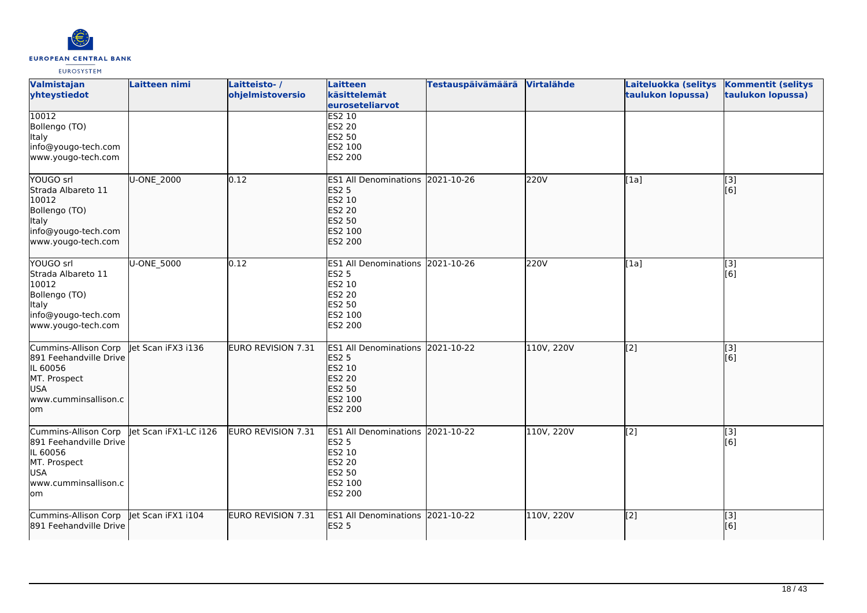

| Valmistajan<br>yhteystiedot                                                                                             | Laitteen nimi        | Laitteisto-/<br>ohjelmistoversio | <b>Laitteen</b><br>käsittelemät<br>euroseteliarvot                                                                        | <b>Testauspäivämäärä</b> | Virtalähde | Laiteluokka (selitys<br>taulukon lopussa) | <b>Kommentit (selitys</b><br>taulukon lopussa) |
|-------------------------------------------------------------------------------------------------------------------------|----------------------|----------------------------------|---------------------------------------------------------------------------------------------------------------------------|--------------------------|------------|-------------------------------------------|------------------------------------------------|
| 10012<br>Bollengo (TO)<br>Italy<br>info@yougo-tech.com<br>www.yougo-tech.com                                            |                      |                                  | <b>ES2 10</b><br><b>ES2 20</b><br><b>ES2 50</b><br>ES2 100<br>ES2 200                                                     |                          |            |                                           |                                                |
| YOUGO srl<br>Strada Albareto 11<br>10012<br>Bollengo (TO)<br>Italy<br>info@yougo-tech.com<br>www.yougo-tech.com         | U-ONE_2000           | 0.12                             | <b>ES1 All Denominations</b><br><b>ES2 5</b><br>ES2 10<br><b>ES2 20</b><br><b>ES2 50</b><br>ES2 100<br><b>ES2 200</b>     | 2021-10-26               | 220V       | [1a]                                      | [[3]<br>[6]                                    |
| YOUGO srl<br>Strada Albareto 11<br>10012<br>Bollengo (TO)<br>Italy<br>info@yougo-tech.com<br>www.yougo-tech.com         | U-ONE_5000           | 0.12                             | ES1 All Denominations 2021-10-26<br><b>ES2 5</b><br><b>ES2 10</b><br><b>ES2 20</b><br><b>ES2 50</b><br>ES2 100<br>ES2 200 |                          | 220V       | [1a]                                      | [3]<br>[6]                                     |
| Cummins-Allison Corp<br>891 Feehandville Drive<br>IL 60056<br>MT. Prospect<br><b>USA</b><br>www.cumminsallison.c<br>lom | let Scan iFX3 i136   | <b>EURO REVISION 7.31</b>        | <b>ES1 All Denominations</b><br><b>ES2 5</b><br>ES2 10<br><b>ES2 20</b><br>ES2 50<br>ES2 100<br><b>ES2 200</b>            | 2021-10-22               | 110V, 220V | [2]                                       | [3]<br>[6]                                     |
| Cummins-Allison Corp<br>891 Feehandville Drive<br>IL 60056<br>MT. Prospect<br><b>USA</b><br>www.cumminsallison.c<br>lom | et Scan iFX1-LC i126 | EURO REVISION 7.31               | <b>ES1 All Denominations</b><br><b>ES2 5</b><br>ES2 10<br><b>ES2 20</b><br><b>ES2 50</b><br>ES2 100<br>ES2 200            | 2021-10-22               | 110V, 220V | [2]                                       | [3]<br>[6]                                     |
| Cummins-Allison Corp<br>891 Feehandville Drive                                                                          | Jet Scan iFX1 i104   | <b>EURO REVISION 7.31</b>        | ES1 All Denominations 2021-10-22<br><b>ES2 5</b>                                                                          |                          | 110V, 220V | $\overline{[2]}$                          | $\overline{[}$ [3]<br>[6]                      |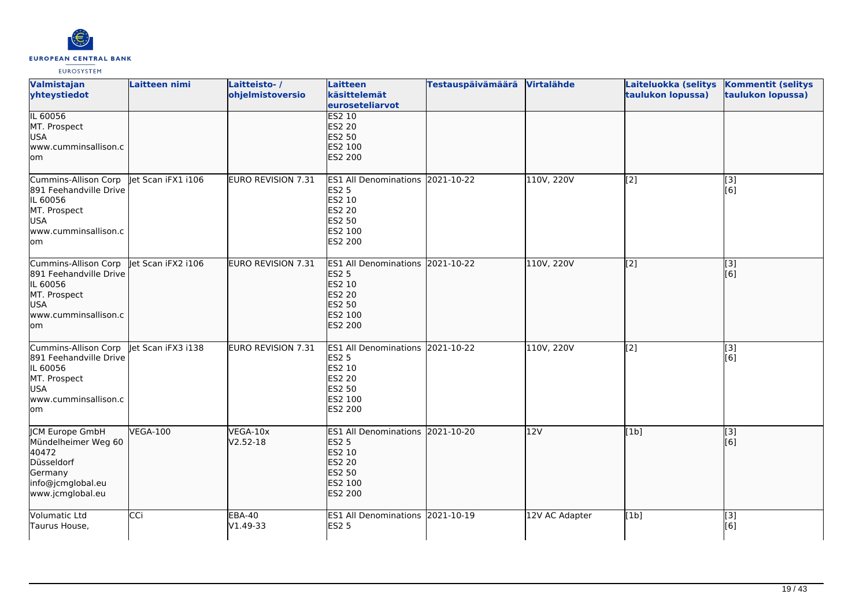

| Valmistajan<br>yhteystiedot                                                                                             | Laitteen nimi      | Laitteisto-/<br>ohjelmistoversio | Laitteen<br>käsittelemät<br>euroseteliarvot                                                                                  | <b>Testauspäivämäärä</b> | Virtalähde     | Laiteluokka (selitys<br>taulukon lopussa) | <b>Kommentit (selitys</b><br>taulukon lopussa) |
|-------------------------------------------------------------------------------------------------------------------------|--------------------|----------------------------------|------------------------------------------------------------------------------------------------------------------------------|--------------------------|----------------|-------------------------------------------|------------------------------------------------|
| IL 60056<br>MT. Prospect<br><b>USA</b><br>www.cumminsallison.c<br>lom                                                   |                    |                                  | <b>ES2 10</b><br><b>ES2 20</b><br><b>ES2 50</b><br>ES2 100<br><b>ES2 200</b>                                                 |                          |                |                                           |                                                |
| Cummins-Allison Corp<br>891 Feehandville Drive<br>IL 60056<br>MT. Prospect<br><b>USA</b><br>www.cumminsallison.c<br>lom | let Scan iFX1 i106 | EURO REVISION 7.31               | <b>ES1 All Denominations</b><br><b>ES2 5</b><br>ES2 10<br><b>ES2 20</b><br><b>ES2 50</b><br>ES2 100<br>ES2 200               | 2021-10-22               | 110V, 220V     | [2]                                       | [3]<br>[6]                                     |
| Cummins-Allison Corp<br>891 Feehandville Drive<br>IL 60056<br>MT. Prospect<br>USA<br>www.cumminsallison.c<br>lom        | let Scan iFX2 i106 | <b>EURO REVISION 7.31</b>        | <b>ES1 All Denominations</b><br><b>ES2 5</b><br><b>ES2 10</b><br><b>ES2 20</b><br><b>ES2 50</b><br>ES2 100<br><b>ES2 200</b> | 2021-10-22               | 110V, 220V     | [[2]                                      | [3]<br>[6]                                     |
| Cummins-Allison Corp<br>891 Feehandville Drive<br>IL 60056<br>MT. Prospect<br><b>USA</b><br>www.cumminsallison.c<br>lom | let Scan iFX3 i138 | EURO REVISION 7.31               | ES1 All Denominations 2021-10-22<br><b>ES2 5</b><br>ES2 10<br><b>ES2 20</b><br><b>ES2 50</b><br>ES2 100<br>ES2 200           |                          | 110V, 220V     | [2]                                       | $\overline{[}3]$<br>[6]                        |
| JCM Europe GmbH<br>Mündelheimer Weg 60<br>40472<br>Düsseldorf<br>Germany<br>info@jcmglobal.eu<br>www.jcmglobal.eu       | <b>VEGA-100</b>    | VEGA-10x<br>V2.52-18             | <b>ES1 All Denominations</b><br><b>ES2 5</b><br>ES2 10<br><b>ES2 20</b><br>ES2 50<br>ES2 100<br><b>ES2 200</b>               | 2021-10-20               | 12V            | [1b]                                      | [[3]<br>[[6]                                   |
| Volumatic Ltd<br>Taurus House,                                                                                          | CCi                | <b>EBA-40</b><br>V1.49-33        | ES1 All Denominations 2021-10-19<br><b>ES2 5</b>                                                                             |                          | 12V AC Adapter | [1b]                                      | [3]<br>[6]                                     |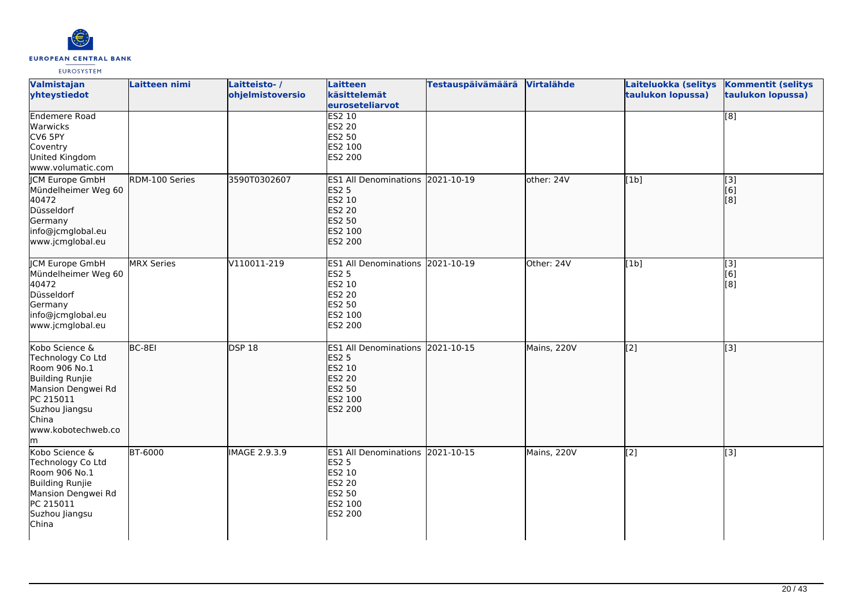

| Valmistajan<br>yhteystiedot                                                                                                                                      | Laitteen nimi     | Laitteisto-/<br>ohjelmistoversio | Laitteen<br>käsittelemät<br>euroseteliarvot                                                                    | <b>Testauspäivämäärä</b> | Virtalähde  | Laiteluokka (selitys<br>taulukon lopussa) | <b>Kommentit (selitys</b><br>taulukon lopussa) |
|------------------------------------------------------------------------------------------------------------------------------------------------------------------|-------------------|----------------------------------|----------------------------------------------------------------------------------------------------------------|--------------------------|-------------|-------------------------------------------|------------------------------------------------|
| <b>Endemere Road</b><br>Warwicks<br>CV6 5PY<br>Coventry<br>United Kingdom<br>www.volumatic.com                                                                   |                   |                                  | <b>ES2 10</b><br>ES2 20<br>ES2 50<br>ES2 100<br>ES2 200                                                        |                          |             |                                           | $\overline{[8]}$                               |
| <b>ICM Europe GmbH</b><br>Mündelheimer Weg 60<br>40472<br>Düsseldorf<br>Germany<br>info@jcmglobal.eu<br>www.jcmglobal.eu                                         | RDM-100 Series    | 3590T0302607                     | <b>ES1 All Denominations</b><br><b>ES2 5</b><br>ES2 10<br>ES2 20<br><b>ES2 50</b><br>ES2 100<br><b>ES2 200</b> | 2021-10-19               | other: 24V  | [[1b]                                     | [3]<br>[6]<br>[3]                              |
| <b>JCM Europe GmbH</b><br>Mündelheimer Weg 60<br>40472<br>Düsseldorf<br>Germany<br>info@jcmglobal.eu<br>www.jcmglobal.eu                                         | <b>MRX Series</b> | V110011-219                      | ES1 All Denominations 2021-10-19<br>ES2 5<br>ES2 10<br>ES2 20<br>ES2 50<br>ES2 100<br>ES2 200                  |                          | Other: 24V  | [1b]                                      | $\overline{[3]}$<br>[6]<br>[8]                 |
| Kobo Science &<br>Technology Co Ltd<br>Room 906 No.1<br>Building Runjie<br>Mansion Dengwei Rd<br>PC 215011<br>Suzhou Jiangsu<br>China<br>www.kobotechweb.co<br>m | BC-8EI            | <b>DSP 18</b>                    | <b>ES1</b> All Denominations<br><b>ES2 5</b><br>ES2 10<br>ES2 20<br>ES2 50<br>ES2 100<br><b>ES2 200</b>        | 2021-10-15               | Mains, 220V | $\overline{[2]}$                          | $\overline{[}$ [3]                             |
| Kobo Science &<br>Technology Co Ltd<br>Room 906 No.1<br><b>Building Runjie</b><br>Mansion Dengwei Rd<br>PC 215011<br>Suzhou Jiangsu<br>China                     | <b>BT-6000</b>    | <b>IMAGE 2.9.3.9</b>             | <b>ES1 All Denominations</b><br><b>ES2 5</b><br>ES2 10<br>ES2 20<br>ES2 50<br>ES2 100<br>ES2 200               | 2021-10-15               | Mains, 220V | $\overline{[2]}$                          | $\overline{[3]}$                               |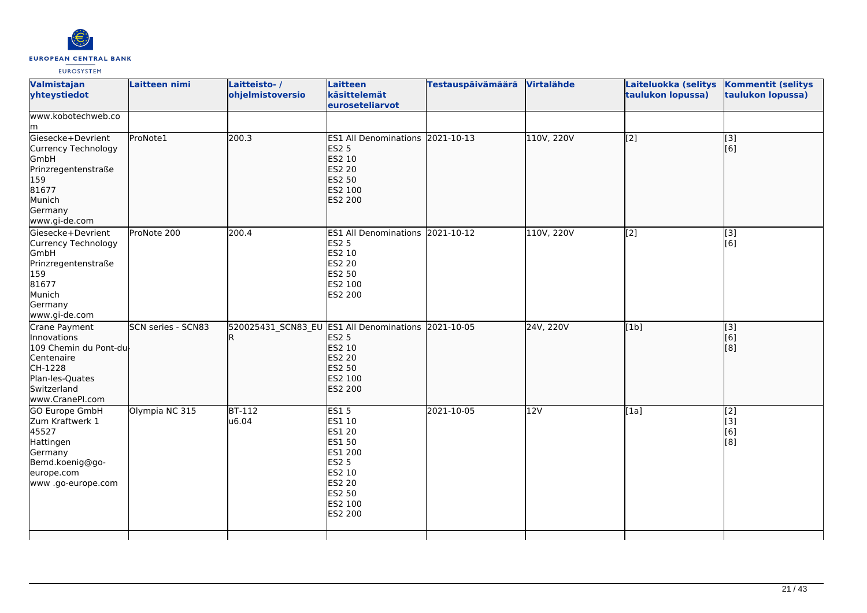

| Valmistajan<br>yhteystiedot                                                                                                         | Laitteen nimi             | Laitteisto-/<br>ohjelmistoversio                    | Laitteen<br>käsittelemät<br>euroseteliarvot                                                                                            | <b>Testauspäivämäärä</b> | Virtalähde | Laiteluokka (selitys<br>taulukon lopussa) | <b>Kommentit (selitys</b><br>taulukon lopussa) |
|-------------------------------------------------------------------------------------------------------------------------------------|---------------------------|-----------------------------------------------------|----------------------------------------------------------------------------------------------------------------------------------------|--------------------------|------------|-------------------------------------------|------------------------------------------------|
| www.kobotechweb.co<br>lm                                                                                                            |                           |                                                     |                                                                                                                                        |                          |            |                                           |                                                |
| Giesecke+Devrient<br>Currency Technology<br>GmbH<br>Prinzregentenstraße<br>159<br>81677<br>Munich<br>Germany<br>www.gi-de.com       | ProNote1                  | 200.3                                               | ES1 All Denominations 2021-10-13<br><b>ES2 5</b><br>ES2 10<br><b>ES2 20</b><br><b>ES2 50</b><br>ES2 100<br>ES2 200                     |                          | 110V, 220V | [2]                                       | [3]<br>[6]                                     |
| Giesecke+Devrient<br>Currency Technology<br>GmbH<br>Prinzregentenstraße<br>159<br>81677<br>Munich<br>Germany<br>www.gi-de.com       | ProNote 200               | 200.4                                               | <b>ES1 All Denominations</b><br><b>ES2 5</b><br>ES2 10<br><b>ES2 20</b><br><b>ES2 50</b><br>ES2 100<br>ES2 200                         | 2021-10-12               | 110V, 220V | $\overline{[2]}$                          | $\overline{[}3]$<br>[6]                        |
| Crane Payment<br>Innovations<br>109 Chemin du Pont-du<br>Centenaire<br>CH-1228<br>Plan-les-Quates<br>Switzerland<br>www.CranePI.com | <b>SCN series - SCN83</b> | 520025431 SCN83 EU ES1 All Denominations 2021-10-05 | <b>ES2 5</b><br>ES2 10<br><b>ES2 20</b><br><b>ES2 50</b><br>ES2 100<br><b>ES2 200</b>                                                  |                          | 24V, 220V  | [1b]                                      | [3]<br>[6]<br>[8]                              |
| <b>GO Europe GmbH</b><br>Zum Kraftwerk 1<br>45527<br>Hattingen<br>Germany<br>Bemd.koenig@go-<br>europe.com<br>www.go-europe.com     | Olympia NC 315            | $BT-112$<br>u6.04                                   | <b>ES15</b><br>ES1 10<br><b>ES1 20</b><br>ES1 50<br>ES1 200<br><b>ES2 5</b><br>ES2 10<br><b>ES2 20</b><br>ES2 50<br>ES2 100<br>ES2 200 | 2021-10-05               | 12V        | [1a]                                      | $\overline{[2]}$<br>[3]<br>[6]<br>[8]          |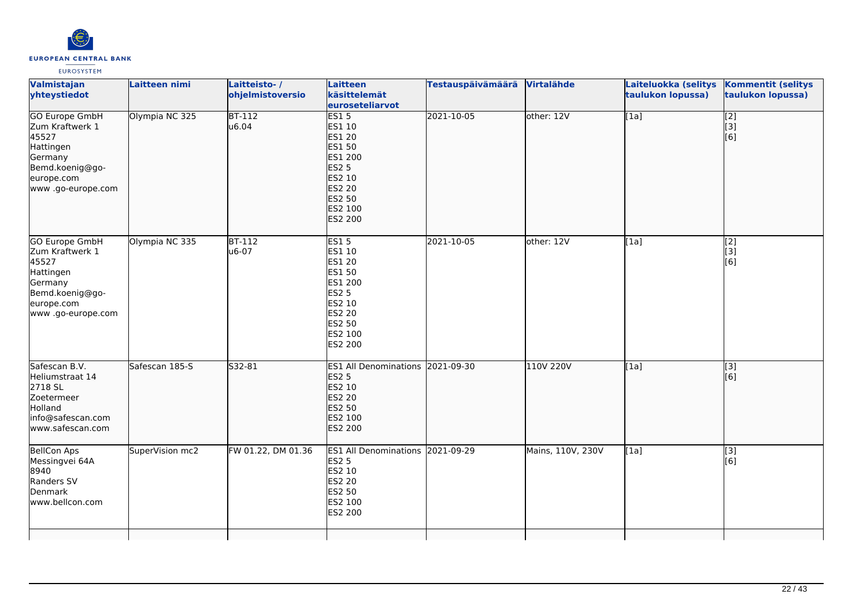

| Valmistajan<br>yhteystiedot                                                                                                      | Laitteen nimi   | Laitteisto-/<br>ohjelmistoversio | <b>Laitteen</b><br>käsittelemät<br>euroseteliarvot                                                                              | <b>Testauspäivämäärä</b> | Virtalähde        | Laiteluokka (selitys<br>taulukon lopussa) | <b>Kommentit (selitys</b><br>taulukon lopussa) |
|----------------------------------------------------------------------------------------------------------------------------------|-----------------|----------------------------------|---------------------------------------------------------------------------------------------------------------------------------|--------------------------|-------------------|-------------------------------------------|------------------------------------------------|
| <b>GO Europe GmbH</b><br>Zum Kraftwerk 1<br>45527<br>Hattingen<br>Germany<br>Bemd.koenig@go-<br>europe.com<br>www .go-europe.com | Olympia NC 325  | $BT-112$<br>u6.04                | ES15<br>ES1 10<br><b>ES1 20</b><br>ES1 50<br>ES1 200<br><b>ES2 5</b><br>ES2 10<br><b>ES2 20</b><br>ES2 50<br>ES2 100<br>ES2 200 | 2021-10-05               | other: 12V        | $\overline{[1a]}$                         | $\overline{[2]}$<br>$\overline{[}3]$<br>[6]    |
| GO Europe GmbH<br>Zum Kraftwerk 1<br>45527<br>Hattingen<br>Germany<br>Bemd.koenig@go-<br>europe.com<br>www.go-europe.com         | Olympia NC 335  | <b>BT-112</b><br>u6-07           | <b>ES15</b><br>ES1 10<br>ES1 20<br>ES1 50<br>ES1 200<br><b>ES2 5</b><br>ES2 10<br>ES2 20<br>ES2 50<br>ES2 100<br>ES2 200        | 2021-10-05               | other: $12V$      | [1a]                                      | $\begin{bmatrix} 2 \\ 3 \end{bmatrix}$<br>[6]  |
| Safescan B.V.<br>Heliumstraat 14<br>2718 SL<br>Zoetermeer<br>Holland<br>info@safescan.com<br>www.safescan.com                    | Safescan 185-S  | S32-81                           | ES1 All Denominations 2021-09-30<br><b>ES2 5</b><br>ES2 10<br>ES2 20<br><b>ES2 50</b><br>ES2 100<br>ES2 200                     |                          | 110V 220V         | [1a]                                      | $\overline{[}3]$<br>[6]                        |
| <b>BellCon Aps</b><br>Messingvei 64A<br>8940<br>Randers SV<br>Denmark<br>www.bellcon.com                                         | SuperVision mc2 | FW 01.22, DM 01.36               | ES1 All Denominations 2021-09-29<br><b>ES2 5</b><br>ES2 10<br>ES2 20<br>ES2 50<br>ES2 100<br>ES2 200                            |                          | Mains, 110V, 230V | [1a]                                      | [3]<br>[6]                                     |
|                                                                                                                                  |                 |                                  |                                                                                                                                 |                          |                   |                                           |                                                |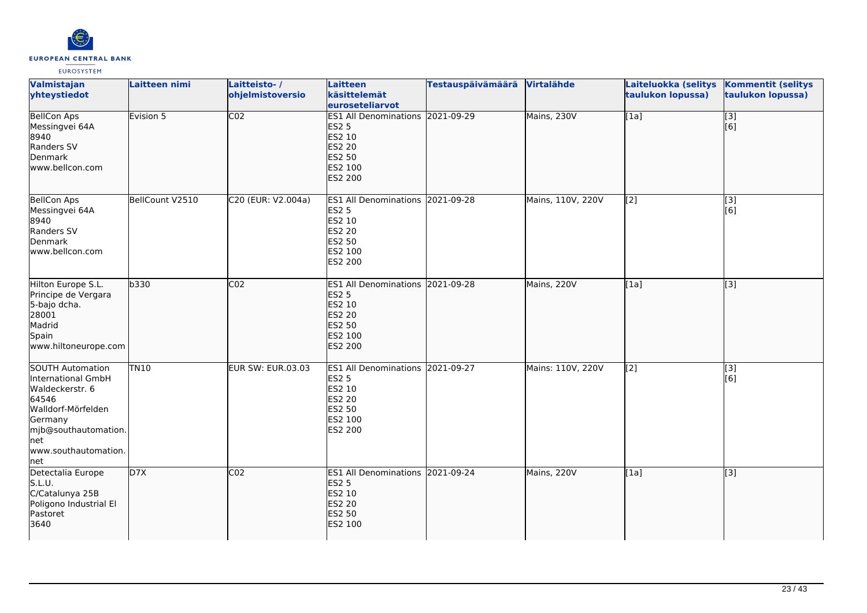

| Valmistajan<br>yhteystiedot                                                                                                                                              | <b>Laitteen nimi</b> | Laitteisto-/<br>ohjelmistoversio | <b>Laitteen</b><br>käsittelemät<br>euroseteliarvot                                                                        | <b>Testauspäivämäärä</b> | Virtalähde        | Laiteluokka (selitys<br>taulukon lopussa) | <b>Kommentit (selitys</b><br>taulukon lopussa) |
|--------------------------------------------------------------------------------------------------------------------------------------------------------------------------|----------------------|----------------------------------|---------------------------------------------------------------------------------------------------------------------------|--------------------------|-------------------|-------------------------------------------|------------------------------------------------|
| <b>BellCon Aps</b><br>Messingvei 64A<br>8940<br>Randers SV<br>Denmark<br>www.bellcon.com                                                                                 | Evision 5            | $\overline{CO2}$                 | ES1 All Denominations 2021-09-29<br><b>ES2 5</b><br>ES2 10<br><b>ES2 20</b><br><b>ES2 50</b><br>ES2 100<br><b>ES2 200</b> |                          | Mains, 230V       | [1a]                                      | $\overline{[}3]$<br>[6]                        |
| <b>BellCon Aps</b><br>Messingvei 64A<br>8940<br>Randers SV<br>Denmark<br>www.bellcon.com                                                                                 | BellCount V2510      | C20 (EUR: V2.004a)               | ES1 All Denominations 2021-09-28<br><b>ES2 5</b><br>ES2 10<br><b>ES2 20</b><br>ES2 50<br>ES2 100<br>ES2 200               |                          | Mains, 110V, 220V | [2]                                       | $[3]$<br>[6]                                   |
| Hilton Europe S.L.<br>Principe de Vergara<br>5-bajo dcha.<br>28001<br>Madrid<br>Spain<br>www.hiltoneurope.com                                                            | b330                 | CO <sub>2</sub>                  | ES1 All Denominations 2021-09-28<br><b>ES2 5</b><br>ES2 10<br><b>ES2 20</b><br>ES2 50<br>ES2 100<br><b>ES2 200</b>        |                          | Mains, 220V       | [[1a]                                     | $\overline{[}3]$                               |
| <b>SOUTH Automation</b><br>International GmbH<br>Waldeckerstr. 6<br>64546<br>Walldorf-Mörfelden<br>Germany<br>mjb@southautomation.<br>net<br>www.southautomation.<br>net | <b>TN10</b>          | <b>EUR SW: EUR.03.03</b>         | ES1 All Denominations 2021-09-27<br><b>ES2 5</b><br>ES2 10<br>ES2 20<br>ES2 50<br>ES2 100<br>ES2 200                      |                          | Mains: 110V, 220V | [2]                                       | $\overline{[}3]$<br>[6]                        |
| Detectalia Europe<br>S.L.U.<br>C/Catalunya 25B<br>Poligono Industrial El<br>Pastoret<br>3640                                                                             | D7X                  | CO <sub>2</sub>                  | ES1 All Denominations 2021-09-24<br><b>ES2 5</b><br><b>ES2 10</b><br><b>ES2 20</b><br><b>ES2 50</b><br>ES2 100            |                          | Mains, 220V       | [1a]                                      | [3]                                            |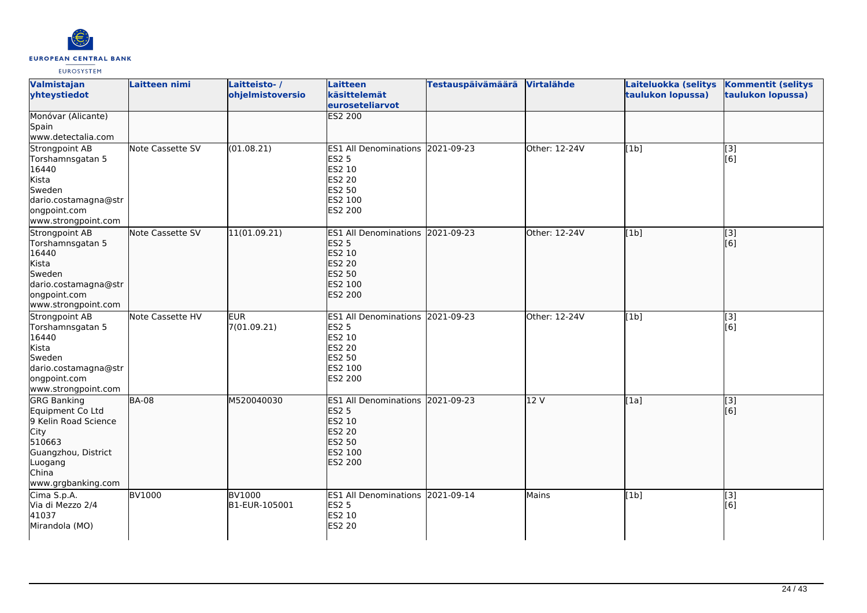

| Valmistajan<br>yhteystiedot                                                                                                                              | Laitteen nimi    | Laitteisto-/<br>ohjelmistoversio | <b>Laitteen</b><br>käsittelemät<br>euroseteliarvot                                                                 | <b>Testauspäivämäärä</b> | Virtalähde    | Laiteluokka (selitys<br>taulukon lopussa) | <b>Kommentit (selitys</b><br>taulukon lopussa) |
|----------------------------------------------------------------------------------------------------------------------------------------------------------|------------------|----------------------------------|--------------------------------------------------------------------------------------------------------------------|--------------------------|---------------|-------------------------------------------|------------------------------------------------|
| Monóvar (Alicante)<br>Spain<br>www.detectalia.com                                                                                                        |                  |                                  | <b>ES2 200</b>                                                                                                     |                          |               |                                           |                                                |
| Strongpoint AB<br>Torshamnsgatan 5<br>16440<br>Kista<br>Sweden<br>dario.costamagna@str<br>ongpoint.com<br>www.strongpoint.com                            | Note Cassette SV | (01.08.21)                       | ES1 All Denominations 2021-09-23<br><b>ES2 5</b><br>ES2 10<br>ES2 20<br>ES2 50<br>ES2 100<br>ES2 200               |                          | Other: 12-24V | [1b]                                      | [3]<br>[6]                                     |
| Strongpoint AB<br>Torshamnsgatan 5<br>16440<br>Kista<br>Sweden<br>dario.costamagna@str<br>ongpoint.com<br>www.strongpoint.com                            | Note Cassette SV | 11(01.09.21)                     | ES1 All Denominations 2021-09-23<br><b>ES2 5</b><br>ES2 10<br>ES2 20<br>ES2 50<br>ES2 100<br>ES2 200               |                          | Other: 12-24V | [1b]                                      | $\overline{[3]}$<br>[6]                        |
| Strongpoint AB<br>Torshamnsgatan 5<br>16440<br>Kista<br>Sweden<br>dario.costamagna@str<br>ongpoint.com<br>www.strongpoint.com                            | Note Cassette HV | <b>EUR</b><br>7(01.09.21)        | ES1 All Denominations 2021-09-23<br><b>ES2 5</b><br>ES2 10<br>ES2 20<br>ES2 50<br>ES2 100<br>ES2 200               |                          | Other: 12-24V | [1b]                                      | [3]<br>[6]                                     |
| <b>GRG Banking</b><br>Equipment Co Ltd<br>9 Kelin Road Science<br><b>City</b><br>510663<br>Guangzhou, District<br>Luogang<br>China<br>www.grgbanking.com | <b>BA-08</b>     | M520040030                       | ES1 All Denominations 2021-09-23<br><b>ES2 5</b><br>ES2 10<br><b>ES2 20</b><br>ES2 50<br>ES2 100<br><b>ES2 200</b> |                          | 12 V          | [1a]                                      | $\left[$ [3]<br>[6]                            |
| Cima S.p.A.<br>Via di Mezzo 2/4<br>41037<br>Mirandola (MO)                                                                                               | <b>BV1000</b>    | <b>BV1000</b><br>B1-EUR-105001   | ES1 All Denominations 2021-09-14<br><b>ES2 5</b><br>ES2 10<br>ES2 20                                               |                          | Mains         | [1b]                                      | [3]<br>[6]                                     |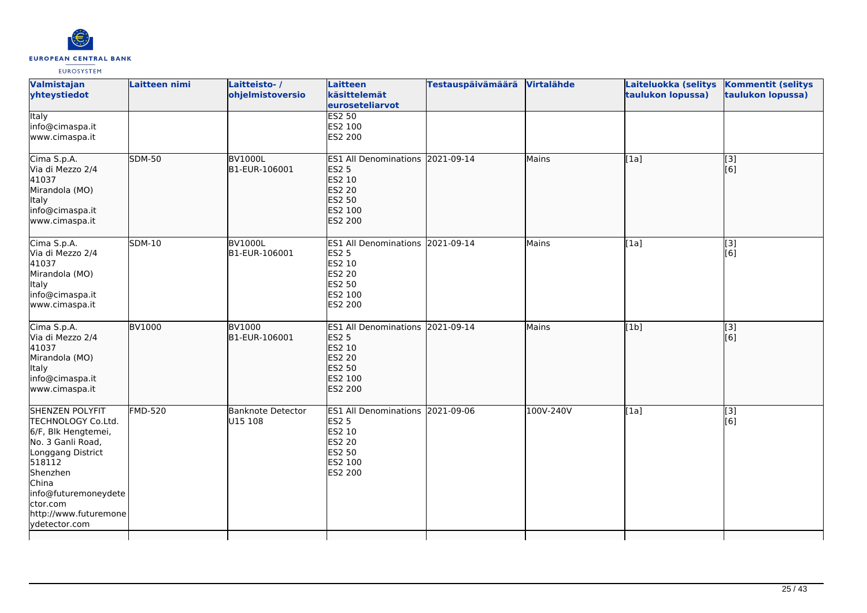

| Valmistajan<br>yhteystiedot                                                                                                                                                                                                | Laitteen nimi  | Laitteisto-/<br>ohjelmistoversio | Laitteen<br>käsittelemät<br>euroseteliarvot                                                                               | <b>Testauspäivämäärä</b> | Virtalähde | Laiteluokka (selitys<br>taulukon lopussa) | <b>Kommentit (selitys</b><br>taulukon lopussa) |
|----------------------------------------------------------------------------------------------------------------------------------------------------------------------------------------------------------------------------|----------------|----------------------------------|---------------------------------------------------------------------------------------------------------------------------|--------------------------|------------|-------------------------------------------|------------------------------------------------|
| <b>Italy</b><br>info@cimaspa.it<br>www.cimaspa.it                                                                                                                                                                          |                |                                  | <b>ES2 50</b><br>ES2 100<br>ES2 200                                                                                       |                          |            |                                           |                                                |
| Cima S.p.A.<br>Via di Mezzo 2/4<br>41037<br>Mirandola (MO)<br>Italy<br>info@cimaspa.it<br>www.cimaspa.it                                                                                                                   | <b>SDM-50</b>  | <b>BV1000L</b><br>B1-EUR-106001  | <b>ES1 All Denominations</b><br><b>ES2 5</b><br>ES2 10<br><b>ES2 20</b><br><b>ES2 50</b><br>ES2 100<br>ES2 200            | 2021-09-14               | Mains      | [1a]                                      | $\overline{[}3]$<br>[6]                        |
| Cima S.p.A.<br>Via di Mezzo 2/4<br>41037<br>Mirandola (MO)<br>Italy<br>info@cimaspa.it<br>www.cimaspa.it                                                                                                                   | <b>SDM-10</b>  | <b>BV1000L</b><br>B1-EUR-106001  | ES1 All Denominations 2021-09-14<br><b>ES2 5</b><br>ES2 10<br><b>ES2 20</b><br>ES2 50<br>ES2 100<br>ES2 200               |                          | Mains      | [1a]                                      | $\overline{[}3]$<br>[6]                        |
| Cima S.p.A.<br>Via di Mezzo 2/4<br>41037<br>Mirandola (MO)<br><b>Italy</b><br>info@cimaspa.it<br>www.cimaspa.it                                                                                                            | <b>BV1000</b>  | <b>BV1000</b><br>B1-EUR-106001   | ES1 All Denominations 2021-09-14<br><b>ES2 5</b><br>ES2 10<br><b>ES2 20</b><br><b>ES2 50</b><br>ES2 100<br><b>ES2 200</b> |                          | Mains      | [1b]                                      | [3]<br>[6]                                     |
| <b>SHENZEN POLYFIT</b><br>TECHNOLOGY Co.Ltd.<br>6/F, Blk Hengtemei,<br>No. 3 Ganli Road,<br>Longgang District<br>518112<br>Shenzhen<br>China<br>info@futuremoneydete<br>ctor.com<br>http://www.futuremone<br>ydetector.com | <b>FMD-520</b> | Banknote Detector<br>U15 108     | <b>ES1 All Denominations</b><br><b>ES2 5</b><br>ES2 10<br><b>ES2 20</b><br><b>ES2 50</b><br>ES2 100<br>ES2 200            | 2021-09-06               | 100V-240V  | [1a]                                      | [3]<br>[6]                                     |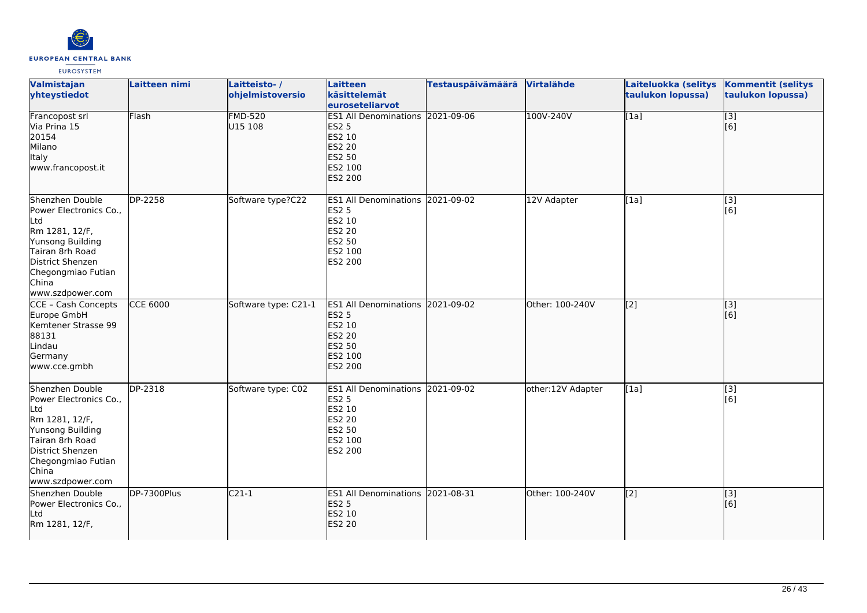

| Valmistajan<br>yhteystiedot                                                                                                                                                      | <b>Laitteen nimi</b> | Laitteisto-/<br>ohjelmistoversio | Laitteen<br>käsittelemät<br>euroseteliarvot                                                                           | Testauspäivämäärä | Virtalähde        | Laiteluokka (selitys<br>taulukon lopussa) | <b>Kommentit (selitys</b><br>taulukon lopussa) |
|----------------------------------------------------------------------------------------------------------------------------------------------------------------------------------|----------------------|----------------------------------|-----------------------------------------------------------------------------------------------------------------------|-------------------|-------------------|-------------------------------------------|------------------------------------------------|
| Francopost srl<br>Via Prina 15<br>20154<br>Milano<br>Italy<br>www.francopost.it                                                                                                  | Flash                | <b>FMD-520</b><br>U15 108        | ES1 All Denominations 2021-09-06<br><b>ES2 5</b><br>ES2 10<br><b>ES2 20</b><br>ES2 50<br>ES2 100<br><b>ES2 200</b>    |                   | 100V-240V         | [1a]                                      | $\overline{[}3]$<br>[6]                        |
| Shenzhen Double<br>Power Electronics Co.,<br>Ltd<br>Rm 1281, 12/F,<br>Yunsong Building<br>Tairan 8rh Road<br>District Shenzen<br>Chegongmiao Futian<br>China<br>www.szdpower.com | DP-2258              | Software type?C22                | ES1 All Denominations 2021-09-02<br><b>ES2 5</b><br>ES2 10<br><b>ES2 20</b><br>ES2 50<br>ES2 100<br><b>ES2 200</b>    |                   | 12V Adapter       | [1a]                                      | [3]<br>[6]                                     |
| CCE - Cash Concepts<br>Europe GmbH<br>Kemtener Strasse 99<br>88131<br>Lindau<br>Germany<br>www.cce.gmbh                                                                          | <b>CCE 6000</b>      | Software type: C21-1             | <b>ES1 All Denominations</b><br><b>ES2 5</b><br>ES2 10<br><b>ES2 20</b><br><b>ES2 50</b><br>ES2 100<br><b>ES2 200</b> | 2021-09-02        | Other: 100-240V   | $\overline{[2]}$                          | $\overline{[}3]$<br>[6]                        |
| Shenzhen Double<br>Power Electronics Co.,<br>Ltd<br>Rm 1281, 12/F,<br>Yunsong Building<br>Tairan 8rh Road<br>District Shenzen<br>Chegongmiao Futian<br>China<br>www.szdpower.com | DP-2318              | Software type: C02               | <b>ES1 All Denominations</b><br><b>ES2 5</b><br>ES2 10<br><b>ES2 20</b><br>ES2 50<br>ES2 100<br>ES2 200               | 2021-09-02        | other:12V Adapter | [1a]                                      | [3]<br>[6]                                     |
| Shenzhen Double<br>Power Electronics Co.,<br>Ltd<br>Rm 1281, 12/F,                                                                                                               | DP-7300Plus          | $C21-1$                          | ES1 All Denominations 2021-08-31<br><b>ES2 5</b><br>ES2 10<br><b>ES2 20</b>                                           |                   | Other: 100-240V   | [2]                                       | [3]<br>[6]                                     |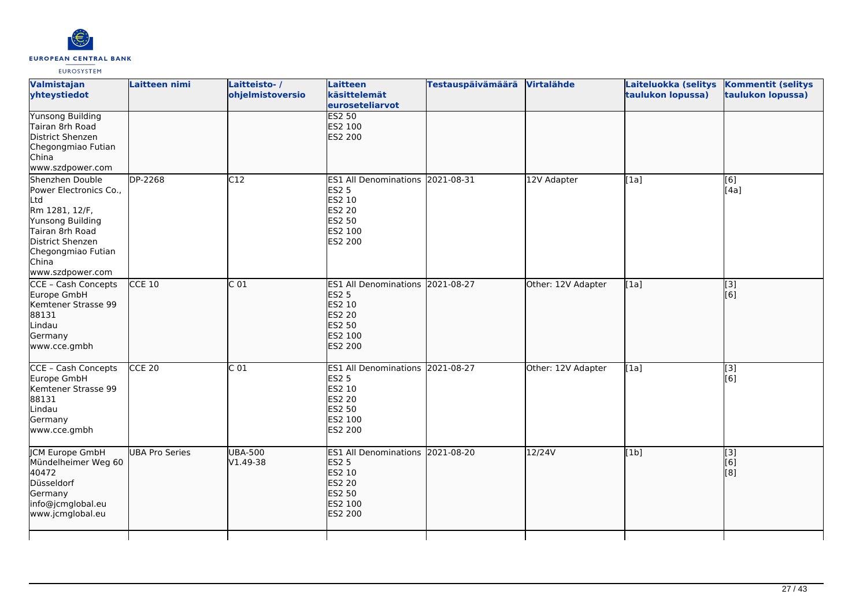

| Valmistajan<br>yhteystiedot                                                                                                                                                      | Laitteen nimi         | Laitteisto-/<br>ohjelmistoversio | Laitteen<br>käsittelemät<br>euroseteliarvot                                                                 | <b>Testauspäivämäärä</b> | Virtalähde         | Laiteluokka (selitys<br>taulukon lopussa) | <b>Kommentit (selitys</b><br>taulukon lopussa) |
|----------------------------------------------------------------------------------------------------------------------------------------------------------------------------------|-----------------------|----------------------------------|-------------------------------------------------------------------------------------------------------------|--------------------------|--------------------|-------------------------------------------|------------------------------------------------|
| <b>Yunsong Building</b><br>Tairan 8rh Road<br>District Shenzen<br>Chegongmiao Futian<br>China<br>www.szdpower.com                                                                |                       |                                  | <b>ES2 50</b><br>ES2 100<br>ES2 200                                                                         |                          |                    |                                           |                                                |
| Shenzhen Double<br>Power Electronics Co.,<br>Ltd<br>Rm 1281, 12/F,<br>Yunsong Building<br>Tairan 8rh Road<br>District Shenzen<br>Chegongmiao Futian<br>China<br>www.szdpower.com | <b>DP-2268</b>        | C12                              | ES1 All Denominations 20021-08-31<br><b>ES2 5</b><br>ES2 10<br>ES2 20<br>ES2 50<br>ES2 100<br>ES2 200       |                          | 12V Adapter        | [1a]                                      | [6]<br>[4a]                                    |
| CCE - Cash Concepts<br>Europe GmbH<br>Kemtener Strasse 99<br>88131<br>Lindau<br>Germany<br>www.cce.gmbh                                                                          | $CCE$ 10              | $\overline{C}$ 01                | ES1 All Denominations 2021-08-27<br><b>ES2 5</b><br>ES2 10<br><b>ES2 20</b><br>ES2 50<br>ES2 100<br>ES2 200 |                          | Other: 12V Adapter | [1a]                                      | $\overline{[}$ [3]<br>[[6]                     |
| CCE - Cash Concepts<br>Europe GmbH<br>Kemtener Strasse 99<br>88131<br>Lindau<br>Germany<br>www.cce.gmbh                                                                          | $CCE$ 20              | C <sub>01</sub>                  | ES1 All Denominations 2021-08-27<br>ES2 5<br>ES2 10<br>ES2 20<br>ES2 50<br>ES2 100<br>ES2 200               |                          | Other: 12V Adapter | [1a]                                      | $\overline{[3]}$<br>[6]                        |
| JCM Europe GmbH<br>Mündelheimer Weg 60<br>40472<br>Düsseldorf<br>Germany<br>info@jcmglobal.eu<br>www.jcmglobal.eu                                                                | <b>UBA Pro Series</b> | <b>UBA-500</b><br>V1.49-38       | ES1 All Denominations 2021-08-20<br><b>ES2 5</b><br>ES2 10<br>ES2 20<br>ES2 50<br>ES2 100<br>ES2 200        |                          | 12/24V             | [1b]                                      | [3]<br>[6]<br>[8]                              |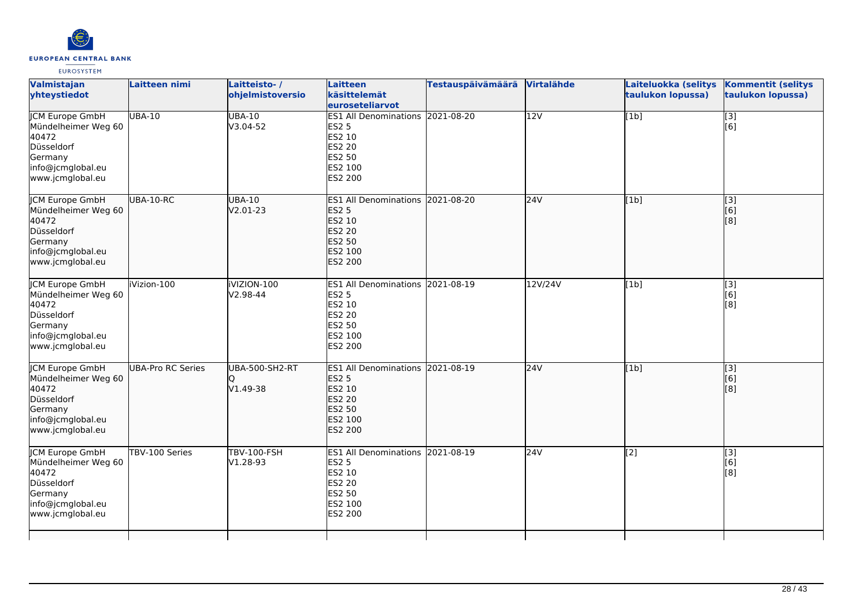

| Valmistajan<br>yhteystiedot                                                                                              | <b>Laitteen nimi</b>     | Laitteisto-/<br>ohjelmistoversio  | Laitteen<br>käsittelemät<br>euroseteliarvot                                                                        | <b>Testauspäivämäärä</b> | Virtalähde       | Laiteluokka (selitys<br>taulukon lopussa) | <b>Kommentit (selitys</b><br>taulukon lopussa) |
|--------------------------------------------------------------------------------------------------------------------------|--------------------------|-----------------------------------|--------------------------------------------------------------------------------------------------------------------|--------------------------|------------------|-------------------------------------------|------------------------------------------------|
| <b>JCM Europe GmbH</b><br>Mündelheimer Weg 60<br>40472<br>Düsseldorf<br>Germany<br>info@jcmglobal.eu<br>www.jcmglobal.eu | <b>UBA-10</b>            | <b>UBA-10</b><br>V3.04-52         | ES1 All Denominations 2021-08-20<br><b>ES2 5</b><br>ES2 10<br>ES2 20<br>ES2 50<br>ES2 100<br>ES2 200               |                          | $\overline{12V}$ | [1b]                                      | $[3]$<br>[6]                                   |
| JCM Europe GmbH<br>Mündelheimer Weg 60<br>40472<br>Düsseldorf<br>Germany<br>info@jcmglobal.eu<br>www.jcmglobal.eu        | UBA-10-RC                | <b>UBA-10</b><br>V2.01-23         | ES1 All Denominations 2021-08-20<br><b>ES2 5</b><br>ES2 10<br><b>ES2 20</b><br><b>ES2 50</b><br>ES2 100<br>ES2 200 |                          | 24V              | [1b]                                      | $\begin{bmatrix} 3 \\ 6 \end{bmatrix}$<br>[8]  |
| <b>JCM Europe GmbH</b><br>Mündelheimer Weg 60<br>40472<br>Düsseldorf<br>Germany<br>info@jcmglobal.eu<br>www.jcmglobal.eu | iVizion-100              | <b>IVIZION-100</b><br>V2.98-44    | ES1 All Denominations 2021-08-19<br><b>ES2 5</b><br>ES2 10<br>ES2 20<br>ES2 50<br>ES2 100<br>ES2 200               |                          | 12V/24V          | [1b]                                      | [3]<br>[6]<br>[8]                              |
| JCM Europe GmbH<br>Mündelheimer Weg 60<br>40472<br>Düsseldorf<br>Germany<br>info@jcmglobal.eu<br>www.jcmglobal.eu        | <b>UBA-Pro RC Series</b> | <b>UBA-500-SH2-RT</b><br>V1.49-38 | ES1 All Denominations 2021-08-19<br><b>ES2 5</b><br>ES2 10<br>ES2 20<br>ES2 50<br>ES2 100<br><b>ES2 200</b>        |                          | 24V              | [1b]                                      | $\overline{[}$ [3]<br>[6]<br>[8]               |
| <b>JCM Europe GmbH</b><br>Mündelheimer Weg 60<br>40472<br>Düsseldorf<br>Germany<br>info@jcmglobal.eu<br>www.jcmglobal.eu | TBV-100 Series           | <b>TBV-100-FSH</b><br>V1.28-93    | ES1 All Denominations 2021-08-19<br><b>ES2 5</b><br>ES2 10<br>ES2 20<br>ES2 50<br>ES2 100<br>ES2 200               |                          | 24V              | $\overline{[2]}$                          | $\overline{[3]}$<br>[6]<br>[8]                 |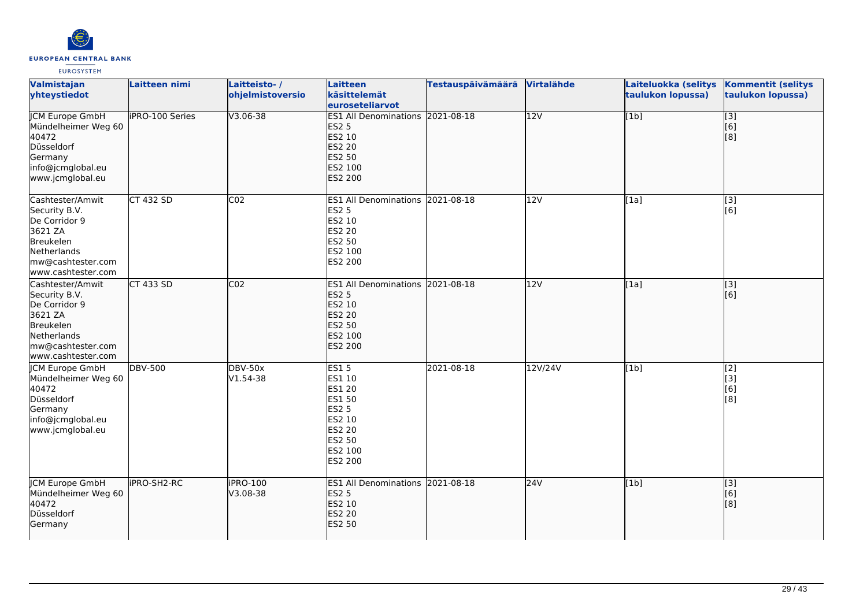

| Valmistajan<br>yhteystiedot                                                                                                          | Laitteen nimi          | Laitteisto-/<br>ohjelmistoversio | <b>Laitteen</b><br>käsittelemät<br>euroseteliarvot                                                                 | <b>Testauspäivämäärä</b> | Virtalähde       | Laiteluokka (selitys<br>taulukon lopussa) | <b>Kommentit (selitys</b><br>taulukon lopussa)            |
|--------------------------------------------------------------------------------------------------------------------------------------|------------------------|----------------------------------|--------------------------------------------------------------------------------------------------------------------|--------------------------|------------------|-------------------------------------------|-----------------------------------------------------------|
| <b>ICM Europe GmbH</b><br>Mündelheimer Weg 60<br>40472<br>Düsseldorf<br>Germany<br>info@jcmglobal.eu<br>www.jcmglobal.eu             | <b>iPRO-100 Series</b> | $V3.06 - 38$                     | ES1 All Denominations 2021-08-18<br><b>ES2 5</b><br>ES2 10<br><b>ES2 20</b><br>ES2 50<br>ES2 100<br>ES2 200        |                          | $\overline{12V}$ | [1b]                                      | $\overline{[}3]$<br>[6]<br>$\left[ 8\right]$              |
| Cashtester/Amwit<br>Security B.V.<br>De Corridor 9<br>3621 ZA<br>Breukelen<br>Netherlands<br>mw@cashtester.com<br>www.cashtester.com | <b>CT 432 SD</b>       | CO <sub>2</sub>                  | ES1 All Denominations 2021-08-18<br><b>ES2 5</b><br>ES2 10<br>ES2 20<br>ES2 50<br>ES2 100<br>ES2 200               |                          | 12V              | [1a]                                      | [3]<br>[6]                                                |
| Cashtester/Amwit<br>Security B.V.<br>De Corridor 9<br>3621 ZA<br>Breukelen<br>Netherlands<br>mw@cashtester.com<br>www.cashtester.com | CT 433 SD              | CO <sub>2</sub>                  | ES1 All Denominations 2021-08-18<br><b>ES2 5</b><br>ES2 10<br><b>ES2 20</b><br>ES2 50<br>ES2 100<br><b>ES2 200</b> |                          | 12V              | [1a]                                      | $\left[ \begin{matrix} 1 & 3 \end{matrix} \right]$<br>[6] |
| JCM Europe GmbH<br>Mündelheimer Weg 60<br>40472<br>Düsseldorf<br>Germany<br>info@jcmglobal.eu<br>www.jcmglobal.eu                    | <b>DBV-500</b>         | <b>DBV-50x</b><br>$V1.54-38$     | <b>ES15</b><br>ES1 10<br><b>ES1 20</b><br>ES1 50<br>ES2 5<br>ES2 10<br>ES2 20<br>ES2 50<br>ES2 100<br>ES2 200      | 2021-08-18               | 12V/24V          | [1b]                                      | $\overline{[2]}$<br>[3]<br>[6]<br>[8]                     |
| <b>JCM Europe GmbH</b><br>Mündelheimer Weg 60<br>40472<br>Düsseldorf<br>Germany                                                      | <b>IPRO-SH2-RC</b>     | iPRO-100<br>V3.08-38             | ES1 All Denominations 2021-08-18<br><b>ES2 5</b><br>ES2 10<br>ES2 20<br><b>ES2 50</b>                              |                          | 24V              | [1b]                                      | [3]<br>[6]<br>[8]                                         |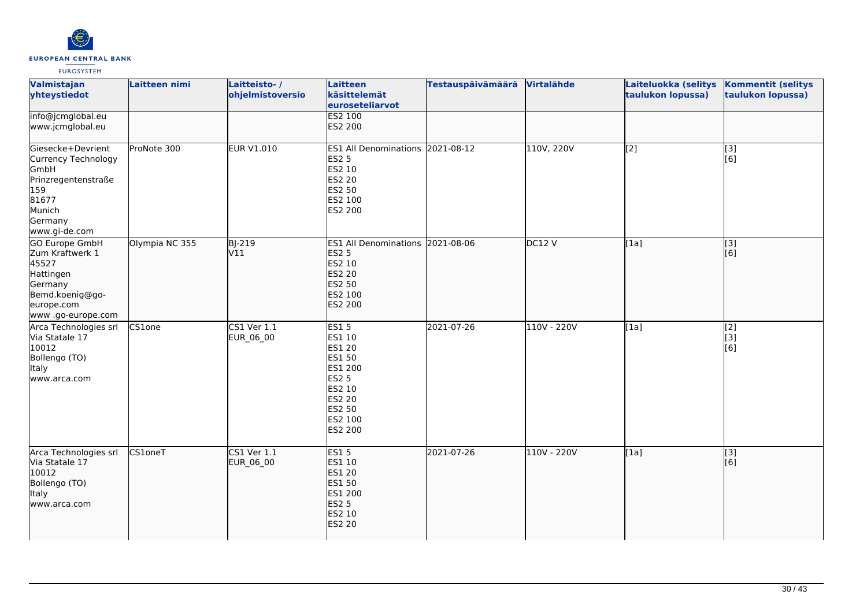

| Valmistajan<br>yhteystiedot                                                                                                     | Laitteen nimi  | Laitteisto-/<br>ohjelmistoversio | <b>Laitteen</b><br>käsittelemät<br>euroseteliarvot                                                                              | <b>Testauspäivämäärä</b> | Virtalähde  | Laiteluokka (selitys<br>taulukon lopussa) | <b>Kommentit (selitys</b><br>taulukon lopussa) |
|---------------------------------------------------------------------------------------------------------------------------------|----------------|----------------------------------|---------------------------------------------------------------------------------------------------------------------------------|--------------------------|-------------|-------------------------------------------|------------------------------------------------|
| info@jcmglobal.eu<br>www.jcmglobal.eu                                                                                           |                |                                  | <b>ES2 100</b><br>ES2 200                                                                                                       |                          |             |                                           |                                                |
| Giesecke+Devrient<br>Currency Technology<br>GmbH<br>Prinzregentenstraße<br>159<br>81677<br>Munich<br>Germany<br>www.gi-de.com   | ProNote 300    | <b>EUR V1.010</b>                | ES1 All Denominations 2021-08-12<br><b>ES2 5</b><br>ES2 10<br>ES2 20<br>ES2 50<br>ES2 100<br>ES2 200                            |                          | 110V, 220V  | $\overline{[2]}$                          | [3]<br>[6]                                     |
| <b>GO Europe GmbH</b><br>Zum Kraftwerk 1<br>45527<br>Hattingen<br>Germany<br>Bemd.koenig@go-<br>europe.com<br>www.go-europe.com | Olympia NC 355 | <b>BJ-219</b><br>V11             | ES1 All Denominations 2021-08-06<br><b>ES2 5</b><br>ES2 10<br>ES2 20<br>ES2 50<br>ES2 100<br><b>ES2 200</b>                     |                          | DC12V       | [1a]                                      | $\overline{[3]}$<br>[6]                        |
| Arca Technologies srl<br>Via Statale 17<br>10012<br>Bollengo (TO)<br><b>Italy</b><br>www.arca.com                               | CS1one         | <b>CS1 Ver 1.1</b><br>EUR_06_00  | <b>ES15</b><br>ES1 10<br>ES1 20<br><b>ES1 50</b><br>ES1 200<br><b>ES2 5</b><br>ES2 10<br>ES2 20<br>ES2 50<br>ES2 100<br>ES2 200 | 2021-07-26               | 110V - 220V | [1a]                                      | [2]<br>[iз]<br>[6]                             |
| Arca Technologies srl<br>Via Statale 17<br>10012<br>Bollengo (TO)<br>Italy<br>www.arca.com                                      | CS1oneT        | $CS1$ Ver $1.1$<br>EUR_06_00     | <b>ES15</b><br>ES1 10<br>ES1 20<br><b>ES1 50</b><br>ES1 200<br><b>ES2 5</b><br>ES2 10<br><b>ES2 20</b>                          | 2021-07-26               | 110V - 220V | [1a]                                      | $\overline{[}3]$<br>[6]                        |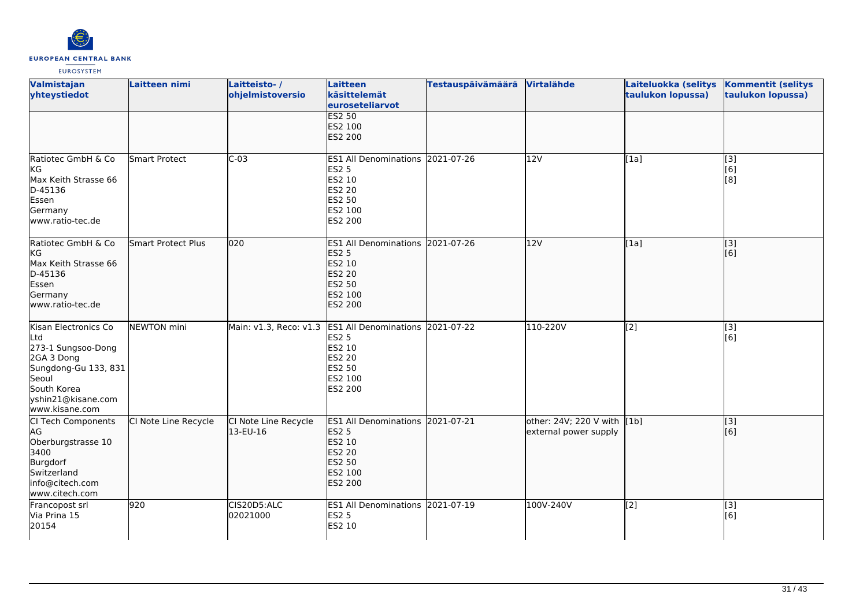

| Valmistajan<br>yhteystiedot                                                                                                                             | Laitteen nimi             | Laitteisto-/<br>ohjelmistoversio | <b>Laitteen</b><br>käsittelemät<br>euroseteliarvot                                                             | <b>Testauspäivämäärä</b> | Virtalähde                                           | Laiteluokka (selitys<br>taulukon lopussa) | <b>Kommentit (selitys</b><br>taulukon lopussa) |
|---------------------------------------------------------------------------------------------------------------------------------------------------------|---------------------------|----------------------------------|----------------------------------------------------------------------------------------------------------------|--------------------------|------------------------------------------------------|-------------------------------------------|------------------------------------------------|
|                                                                                                                                                         |                           |                                  | <b>ES2 50</b><br>ES2 100<br><b>ES2 200</b>                                                                     |                          |                                                      |                                           |                                                |
| Ratiotec GmbH & Co<br><b>KG</b><br>Max Keith Strasse 66<br>D-45136<br>Essen<br>Germany<br>www.ratio-tec.de                                              | <b>Smart Protect</b>      | $C-03$                           | <b>ES1 All Denominations</b><br><b>ES2 5</b><br>ES2 10<br>ES2 20<br>ES2 50<br>ES2 100<br>ES2 200               | 2021-07-26               | 12V                                                  | [1a]                                      | $\overline{[}3]$<br>[6]<br>[8]                 |
| Ratiotec GmbH & Co<br>kG<br>Max Keith Strasse 66<br>D-45136<br>Essen<br>Germany<br>www.ratio-tec.de                                                     | <b>Smart Protect Plus</b> | 020                              | <b>ES1 All Denominations</b><br><b>ES2 5</b><br>ES2 10<br>ES2 20<br>ES2 50<br>ES2 100<br><b>ES2 200</b>        | 2021-07-26               | 12V                                                  | [1a]                                      | $\overline{[3]}$<br>[6]                        |
| Kisan Electronics Co<br>Ltd<br>273-1 Sungsoo-Dong<br>2GA 3 Dong<br>Sungdong-Gu 133, 831<br>Seoul<br>South Korea<br>yshin21@kisane.com<br>www.kisane.com | <b>NEWTON</b> mini        | Main: v1.3, Reco: v1.3           | <b>ES1 All Denominations</b><br>ES2 5<br>ES2 10<br><b>ES2 20</b><br>ES2 50<br>ES2 100<br>ES2 200               | 2021-07-22               | 110-220V                                             | $\overline{[2]}$                          | [3]<br>[6]                                     |
| CI Tech Components<br>AG<br>Oberburgstrasse 10<br>3400<br>Burgdorf<br>Switzerland<br>info@citech.com<br>www.citech.com                                  | CI Note Line Recycle      | CI Note Line Recycle<br>13-EU-16 | <b>ES1 All Denominations</b><br><b>ES2 5</b><br>ES2 10<br><b>ES2 20</b><br>ES2 50<br>ES2 100<br><b>ES2 200</b> | 2021-07-21               | other: 24V; 220 V with [1b]<br>external power supply |                                           | [3]<br>[6]                                     |
| Francopost srl<br>Via Prina 15<br>20154                                                                                                                 | 920                       | CIS20D5:ALC<br>02021000          | <b>ES1 All Denominations</b><br><b>ES2 5</b><br>ES2 10                                                         | 2021-07-19               | 100V-240V                                            | [2]                                       | [3]<br>[6]                                     |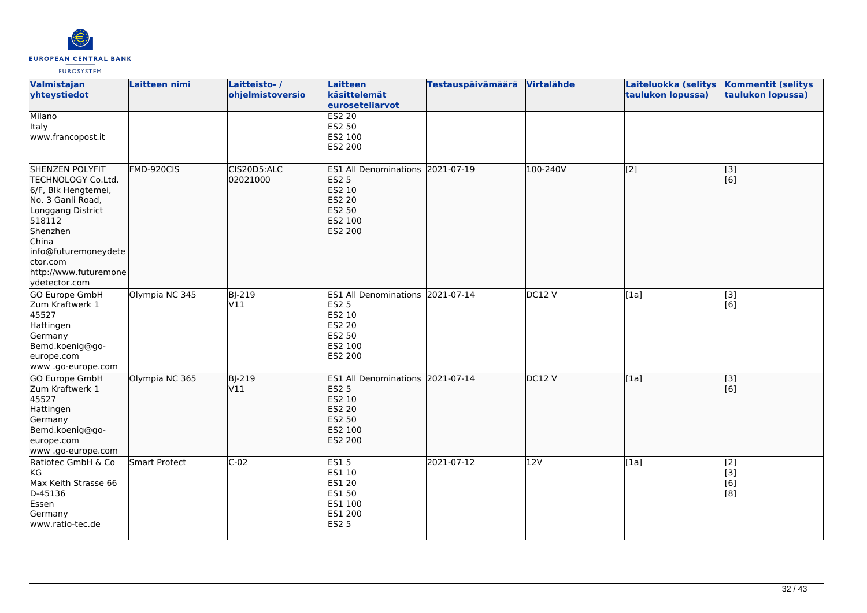

| Valmistajan<br>yhteystiedot                                                                                                                                                                                                | Laitteen nimi  | Laitteisto-/<br>ohjelmistoversio | <b>Laitteen</b><br>käsittelemät<br>euroseteliarvot                                                             | <b>Testauspäivämäärä</b> | Virtalähde        | Laiteluokka (selitys<br>taulukon lopussa) | <b>Kommentit (selitys</b><br>taulukon lopussa) |
|----------------------------------------------------------------------------------------------------------------------------------------------------------------------------------------------------------------------------|----------------|----------------------------------|----------------------------------------------------------------------------------------------------------------|--------------------------|-------------------|-------------------------------------------|------------------------------------------------|
| <b>Milano</b><br>Italy<br>www.francopost.it                                                                                                                                                                                |                |                                  | <b>ES2 20</b><br>ES2 50<br>ES2 100<br>ES2 200                                                                  |                          |                   |                                           |                                                |
| <b>SHENZEN POLYFIT</b><br>TECHNOLOGY Co.Ltd.<br>6/F, Blk Hengtemei,<br>No. 3 Ganli Road,<br>Longgang District<br>518112<br>Shenzhen<br>China<br>info@futuremoneydete<br>ctor.com<br>http://www.futuremone<br>ydetector.com | FMD-920CIS     | CIS20D5:ALC<br>02021000          | <b>ES1 All Denominations</b><br><b>ES2 5</b><br>ES2 10<br><b>ES2 20</b><br><b>ES2 50</b><br>ES2 100<br>ES2 200 | 2021-07-19               | 100-240V          | [2]                                       | $\overline{[}3]$<br>[[6]                       |
| <b>GO Europe GmbH</b><br>Zum Kraftwerk 1<br>45527<br>Hattingen<br>Germany<br>Bemd.koenig@go-<br>europe.com<br>www.go-europe.com                                                                                            | Olympia NC 345 | <b>BJ-219</b><br>V11             | <b>ES1 All Denominations</b><br><b>ES2 5</b><br>ES2 10<br><b>ES2 20</b><br><b>ES2 50</b><br>ES2 100<br>ES2 200 | 2021-07-14               | DC12 <sub>V</sub> | [1a]                                      | $\overline{[}3]$<br>[6]                        |
| GO Europe GmbH<br>Zum Kraftwerk 1<br>45527<br>Hattingen<br>Germany<br>Bemd.koenig@go-<br>europe.com<br>www.go-europe.com                                                                                                   | Olympia NC 365 | <b>BJ-219</b><br>V11             | <b>ES1 All Denominations</b><br><b>ES2 5</b><br>ES2 10<br><b>ES2 20</b><br><b>ES2 50</b><br>ES2 100<br>ES2 200 | 2021-07-14               | DC12V             | [1a]                                      | [3]<br>[[6]                                    |
| Ratiotec GmbH & Co<br>KG<br>Max Keith Strasse 66<br>D-45136<br>Essen<br>Germany<br>www.ratio-tec.de                                                                                                                        | Smart Protect  | $C-02$                           | <b>ES15</b><br>ES1 10<br>ES1 20<br><b>ES1 50</b><br>ES1 100<br>ES1 200<br><b>ES2 5</b>                         | 2021-07-12               | 12V               | [1a]                                      | [2]<br>[3]<br>[6]<br>[8]                       |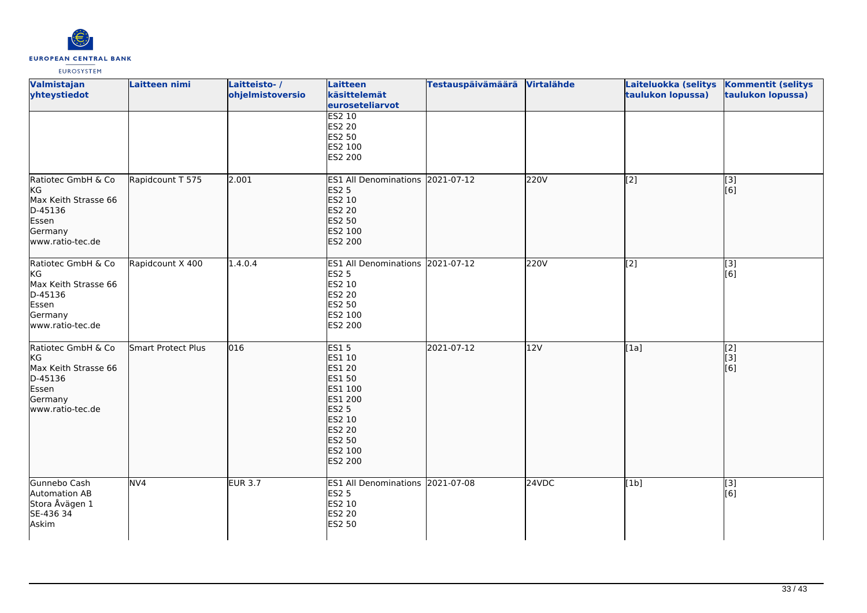

| Valmistajan<br>yhteystiedot                                                                         | Laitteen nimi             | Laitteisto-/<br>ohjelmistoversio | <b>Laitteen</b><br>käsittelemät<br>euroseteliarvot                                                                                  | <b>Testauspäivämäärä</b> | Virtalähde | Laiteluokka (selitys<br>taulukon lopussa) | <b>Kommentit (selitys</b><br>taulukon lopussa) |
|-----------------------------------------------------------------------------------------------------|---------------------------|----------------------------------|-------------------------------------------------------------------------------------------------------------------------------------|--------------------------|------------|-------------------------------------------|------------------------------------------------|
|                                                                                                     |                           |                                  | <b>ES2 10</b><br>ES2 20<br>ES2 50<br>ES2 100<br>ES2 200                                                                             |                          |            |                                           |                                                |
| Ratiotec GmbH & Co<br>KG<br>Max Keith Strasse 66<br>D-45136<br>Essen<br>Germany<br>www.ratio-tec.de | Rapidcount T 575          | 2.001                            | <b>ES1 All Denominations</b><br><b>ES2 5</b><br>ES2 10<br>ES2 20<br><b>ES2 50</b><br>ES2 100<br>ES2 200                             | 2021-07-12               | 220V       | [2]                                       | [3]<br>[6]                                     |
| Ratiotec GmbH & Co<br>KG<br>Max Keith Strasse 66<br>D-45136<br>Essen<br>Germany<br>www.ratio-tec.de | Rapidcount X 400          | 1.4.0.4                          | ES1 All Denominations 2021-07-12<br><b>ES2 5</b><br>ES2 10<br>ES2 20<br>ES2 50<br>ES2 100<br>ES2 200                                |                          | 220V       | [2]                                       | $\overline{[3]}$<br>[6]                        |
| Ratiotec GmbH & Co<br>kG<br>Max Keith Strasse 66<br>D-45136<br>Essen<br>Germany<br>www.ratio-tec.de | <b>Smart Protect Plus</b> | 016                              | <b>ES15</b><br>ES1 10<br>ES1 20<br>ES1 50<br>ES1 100<br>ES1 200<br><b>ES2 5</b><br>ES2 10<br>ES2 20<br>ES2 50<br>ES2 100<br>ES2 200 | 2021-07-12               | 12V        | [1a]                                      | $\overline{[2]}$<br>[3]<br>[6]                 |
| Gunnebo Cash<br>Automation AB<br>Stora Åvägen 1<br>SE-436 34<br>Askim                               | NV <sub>4</sub>           | <b>EUR 3.7</b>                   | ES1 All Denominations 2021-07-08<br><b>ES2 5</b><br>ES2 10<br>ES2 20<br><b>ES2 50</b>                                               |                          | 24VDC      | [1b]                                      | $\overline{[3]}$<br>[6]                        |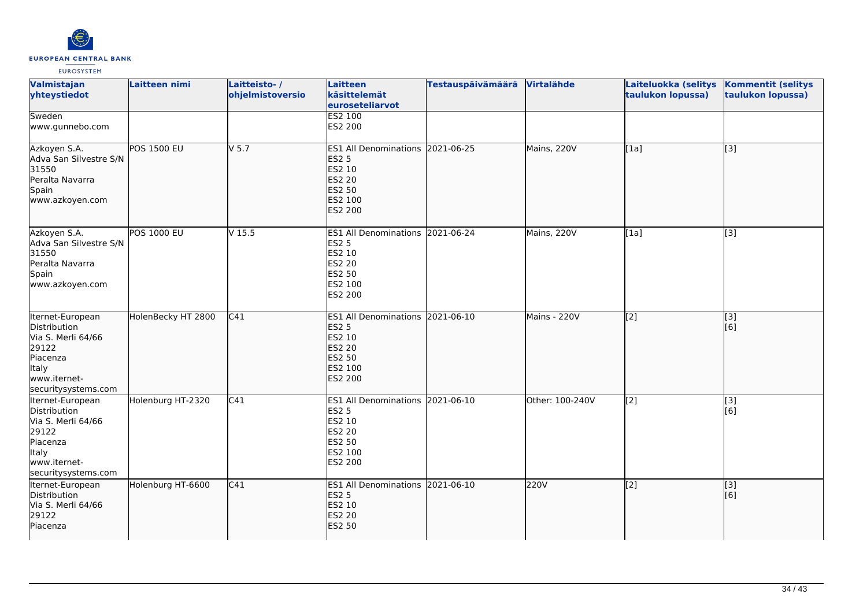

| <b>Valmistajan</b><br>yhteystiedot                                                                                                        | Laitteen nimi      | Laitteisto-/<br>ohjelmistoversio | Laitteen<br>käsittelemät<br>euroseteliarvot                                                                        | Testauspäivämäärä Virtalähde |                 | Laiteluokka (selitys<br>taulukon lopussa) | <b>Kommentit (selitys</b><br>taulukon lopussa) |
|-------------------------------------------------------------------------------------------------------------------------------------------|--------------------|----------------------------------|--------------------------------------------------------------------------------------------------------------------|------------------------------|-----------------|-------------------------------------------|------------------------------------------------|
| Sweden<br>www.gunnebo.com                                                                                                                 |                    |                                  | ES2 100<br>ES2 200                                                                                                 |                              |                 |                                           |                                                |
| Azkoyen S.A.<br>Adva San Silvestre S/N<br>31550<br>Peralta Navarra<br>Spain<br>www.azkoyen.com                                            | <b>POS 1500 EU</b> | $V$ 5.7                          | ES1 All Denominations 2021-06-25<br><b>ES2 5</b><br>ES2 10<br><b>ES2 20</b><br><b>ES2 50</b><br>ES2 100<br>ES2 200 |                              | Mains, 220V     | [1a]                                      | $\overline{[3]}$                               |
| Azkoyen S.A.<br>Adva San Silvestre S/N<br>31550<br>Peralta Navarra<br>Spain<br>www.azkoyen.com                                            | <b>POS 1000 EU</b> | V <sub>15.5</sub>                | ES1 All Denominations 2021-06-24<br><b>ES2 5</b><br>ES2 10<br><b>ES2 20</b><br>ES2 50<br>ES2 100<br>ES2 200        |                              | Mains, 220V     | [1a]                                      | $\overline{[3]}$                               |
| Iternet-European<br>Distribution<br>Via S. Merli 64/66<br>29122<br>Piacenza<br><b>Italy</b><br>www.iternet-<br>securitysystems.com        | HolenBecky HT 2800 | C41                              | ES1 All Denominations 2021-06-10<br><b>ES2 5</b><br>ES2 10<br><b>ES2 20</b><br><b>ES2 50</b><br>ES2 100<br>ES2 200 |                              | Mains - 220V    | $\overline{[2]}$                          | $\sqrt{3}$<br>[6]                              |
| Iternet-European<br><b>Distribution</b><br>Via S. Merli 64/66<br>29122<br>Piacenza<br><b>Italy</b><br>www.iternet-<br>securitysystems.com | Holenburg HT-2320  | C <sub>41</sub>                  | ES1 All Denominations 2021-06-10<br><b>ES2 5</b><br>ES2 10<br><b>ES2 20</b><br><b>ES2 50</b><br>ES2 100<br>ES2 200 |                              | Other: 100-240V | $\overline{[2]}$                          | [3]<br>[6]                                     |
| Iternet-European<br>Distribution<br>Via S. Merli 64/66<br>29122<br>Piacenza                                                               | Holenburg HT-6600  | C41                              | ES1 All Denominations 2021-06-10<br><b>ES2 5</b><br>ES2 10<br><b>ES2 20</b><br><b>ES2 50</b>                       |                              | 220V            | $\overline{[2]}$                          | $\overline{[}3]$<br>[6]                        |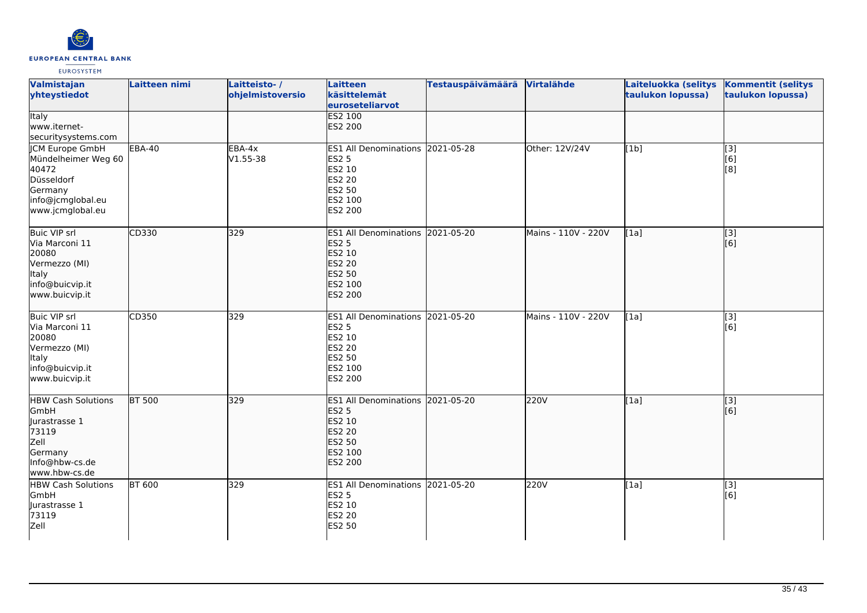

| Valmistajan<br>yhteystiedot                                                                                              | Laitteen nimi | Laitteisto-/<br>ohjelmistoversio | Laitteen<br>käsittelemät<br>euroseteliarvot                                                                    | <b>Testauspäivämäärä</b> | <b>Virtalähde</b>   | Laiteluokka (selitys<br>taulukon lopussa) | <b>Kommentit (selitys</b><br>taulukon lopussa)  |
|--------------------------------------------------------------------------------------------------------------------------|---------------|----------------------------------|----------------------------------------------------------------------------------------------------------------|--------------------------|---------------------|-------------------------------------------|-------------------------------------------------|
| <b>Italy</b><br>www.iternet-<br>securitysystems.com                                                                      |               |                                  | <b>ES2 100</b><br>ES2 200                                                                                      |                          |                     |                                           |                                                 |
| <b>JCM Europe GmbH</b><br>Mündelheimer Weg 60<br>40472<br>Düsseldorf<br>Germany<br>info@jcmglobal.eu<br>www.jcmglobal.eu | <b>EBA-40</b> | EBA-4x<br>$V1.55 - 38$           | ES1 All Denominations 2021-05-28<br><b>ES2 5</b><br>ES2 10<br><b>ES2 20</b><br>ES2 50<br>ES2 100<br>ES2 200    |                          | Other: 12V/24V      | [1b]                                      | [3]<br>[6]<br>[8]                               |
| <b>Buic VIP srl</b><br>Via Marconi 11<br>20080<br>Vermezzo (MI)<br>Italy<br>info@buicvip.it<br>www.buicvip.it            | CD330         | 329                              | <b>ES1 All Denominations</b><br><b>ES2 5</b><br>ES2 10<br><b>ES2 20</b><br>ES2 50<br>ES2 100<br><b>ES2 200</b> | 2021-05-20               | Mains - 110V - 220V | [1a]                                      | $\overline{[}3]$<br>[6]                         |
| <b>Buic VIP srl</b><br>Via Marconi 11<br>20080<br>Vermezzo (MI)<br>Italy<br>info@buicvip.it<br>www.buicvip.it            | CD350         | 329                              | ES1 All Denominations 2021-05-20<br><b>ES2 5</b><br>ES2 10<br><b>ES2 20</b><br>ES2 50<br>ES2 100<br>ES2 200    |                          | Mains - 110V - 220V | [1a]                                      | $\overline{[}3]$<br>[6]                         |
| <b>HBW Cash Solutions</b><br>GmbH<br>Jurastrasse 1<br>73119<br>Zell<br>Germany<br>Info@hbw-cs.de<br>www.hbw-cs.de        | <b>BT 500</b> | 329                              | <b>ES1 All Denominations</b><br><b>ES2 5</b><br>ES2 10<br>ES2 20<br>ES2 50<br>ES2 100<br>ES2 200               | 2021-05-20               | 220V                | [1a]                                      | $\overline{[3]}$<br>$\overline{[}6\overline{)}$ |
| <b>HBW Cash Solutions</b><br>GmbH<br>Jurastrasse 1<br>73119<br>Zell                                                      | <b>BT 600</b> | 329                              | ES1 All Denominations 2021-05-20<br><b>ES2 5</b><br>ES2 10<br>ES2 20<br>ES2 50                                 |                          | 220V                | [1a]                                      | [3]<br>[6]                                      |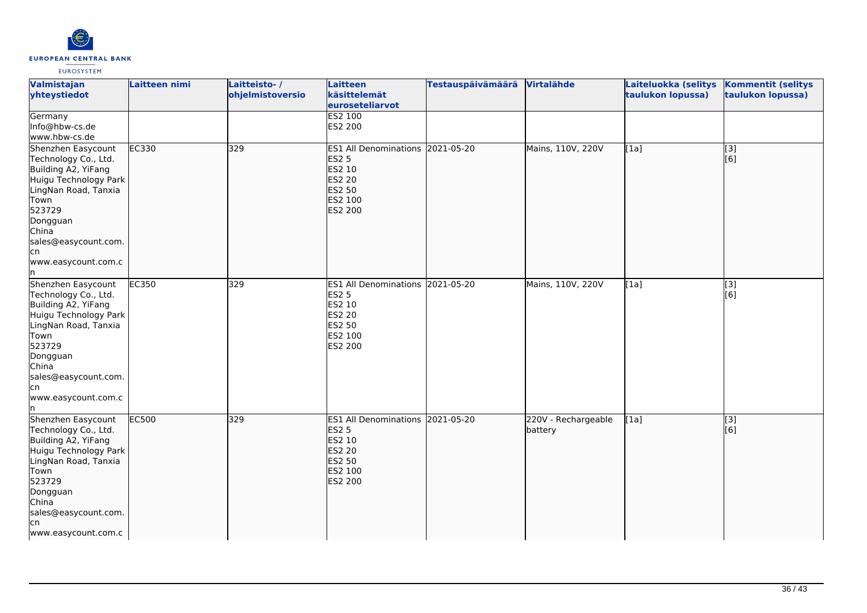

| Valmistajan<br>yhteystiedot                                                                                                                                                                                            | Laitteen nimi | Laitteisto-/<br>ohjelmistoversio | <b>Laitteen</b><br>käsittelemät<br>euroseteliarvot                                                                        | <b>Testauspäivämäärä</b> | Virtalähde                     | Laiteluokka (selitys<br>taulukon lopussa) | <b>Kommentit (selitys</b><br>taulukon lopussa) |
|------------------------------------------------------------------------------------------------------------------------------------------------------------------------------------------------------------------------|---------------|----------------------------------|---------------------------------------------------------------------------------------------------------------------------|--------------------------|--------------------------------|-------------------------------------------|------------------------------------------------|
| Germany<br>Info@hbw-cs.de<br>www.hbw-cs.de                                                                                                                                                                             |               |                                  | <b>ES2 100</b><br>ES2 200                                                                                                 |                          |                                |                                           |                                                |
| Shenzhen Easycount<br>Technology Co., Ltd.<br>Building A2, YiFang<br>Huigu Technology Park<br>LingNan Road, Tanxia<br>Town<br>523729<br>Dongguan<br>China<br>sales@easycount.com.<br>lcn<br>www.easycount.com.c<br>In. | EC330         | 329                              | ES1 All Denominations 2021-05-20<br><b>ES2 5</b><br>ES2 10<br>ES2 20<br>ES2 50<br>ES2 100<br><b>ES2 200</b>               |                          | Mains, 110V, 220V              | [1a]                                      | [3]<br>[6]                                     |
| Shenzhen Easycount<br>Technology Co., Ltd.<br>Building A2, YiFang<br>Huigu Technology Park<br>LingNan Road, Tanxia<br>Town<br>523729<br>Dongguan<br>China<br>sales@easycount.com.<br>lcn<br>www.easycount.com.c<br>In. | EC350         | 329                              | ES1 All Denominations 2021-05-20<br><b>ES2 5</b><br>ES2 10<br><b>ES2 20</b><br>ES2 50<br>ES2 100<br><b>ES2 200</b>        |                          | Mains, 110V, 220V              | [1a]                                      | [3]<br>[6]                                     |
| Shenzhen Easycount<br>Technology Co., Ltd.<br>Building A2, YiFang<br>Huigu Technology Park<br>LingNan Road, Tanxia<br>Town<br>523729<br>Dongguan<br>China<br>sales@easycount.com.<br>lcn<br>www.easycount.com.c        | <b>EC500</b>  | 329                              | ES1 All Denominations 2021-05-20<br><b>ES2 5</b><br>ES2 10<br><b>ES2 20</b><br><b>ES2 50</b><br>ES2 100<br><b>ES2 200</b> |                          | 220V - Rechargeable<br>battery | [1a]                                      | [3]<br>$\overline{[}6\overline{)}$             |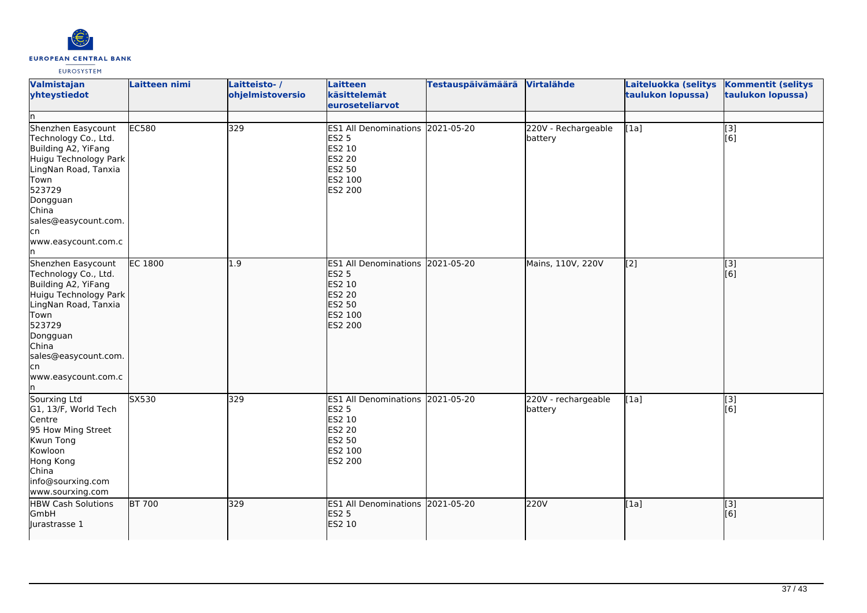

| <b>Valmistajan</b><br>yhteystiedot<br>In.                                                                                                                                                                            | Laitteen nimi  | Laitteisto-/<br>ohjelmistoversio | Laitteen<br>käsittelemät<br>euroseteliarvot                                                                 | <b>Testauspäivämäärä</b> | Virtalähde                     | Laiteluokka (selitys<br>taulukon lopussa) | <b>Kommentit (selitys</b><br>taulukon lopussa) |
|----------------------------------------------------------------------------------------------------------------------------------------------------------------------------------------------------------------------|----------------|----------------------------------|-------------------------------------------------------------------------------------------------------------|--------------------------|--------------------------------|-------------------------------------------|------------------------------------------------|
| Shenzhen Easycount<br>Technology Co., Ltd.<br>Building A2, YiFang<br>Huigu Technology Park<br>LingNan Road, Tanxia<br>Town<br>523729<br>Dongguan<br>China<br>sales@easycount.com.<br>cn<br>www.easycount.com.c       | <b>EC580</b>   | 329                              | ES1 All Denominations 2021-05-20<br>ES2 5<br>ES2 10<br><b>ES2 20</b><br>ES2 50<br>ES2 100<br>ES2 200        |                          | 220V - Rechargeable<br>battery | $\overline{[1a]}$                         | $\overline{[}3]$<br>[6]                        |
| Shenzhen Easycount<br>Technology Co., Ltd.<br>Building A2, YiFang<br>Huigu Technology Park<br>LingNan Road, Tanxia<br>Town<br>523729<br>Dongguan<br>China<br>sales@easycount.com.<br>cn<br>www.easycount.com.c<br>ın | <b>EC 1800</b> | $\overline{1.9}$                 | ES1 All Denominations 2021-05-20<br><b>ES2 5</b><br>ES2 10<br><b>ES2 20</b><br>ES2 50<br>ES2 100<br>ES2 200 |                          | Mains, 110V, 220V              | $\overline{[2]}$                          | $\sqrt{3}$<br>[6]                              |
| Sourxing Ltd<br>G1, 13/F, World Tech<br>Centre<br>95 How Ming Street<br>Kwun Tong<br>Kowloon<br>Hong Kong<br>China<br>info@sourxing.com<br>www.sourxing.com                                                          | SX530          | 329                              | ES1 All Denominations 2021-05-20<br>ES2 5<br>ES2 10<br><b>ES2 20</b><br>ES2 50<br>ES2 100<br>ES2 200        |                          | 220V - rechargeable<br>battery | $\overline{[1a]}$                         | [3]<br>[6]                                     |
| <b>HBW Cash Solutions</b><br>GmbH<br>lurastrasse 1                                                                                                                                                                   | BT 700         | 329                              | ES1 All Denominations 2021-05-20<br><b>ES2 5</b><br>ES2 10                                                  |                          | 220V                           | [1a]                                      | [3]<br>[6]                                     |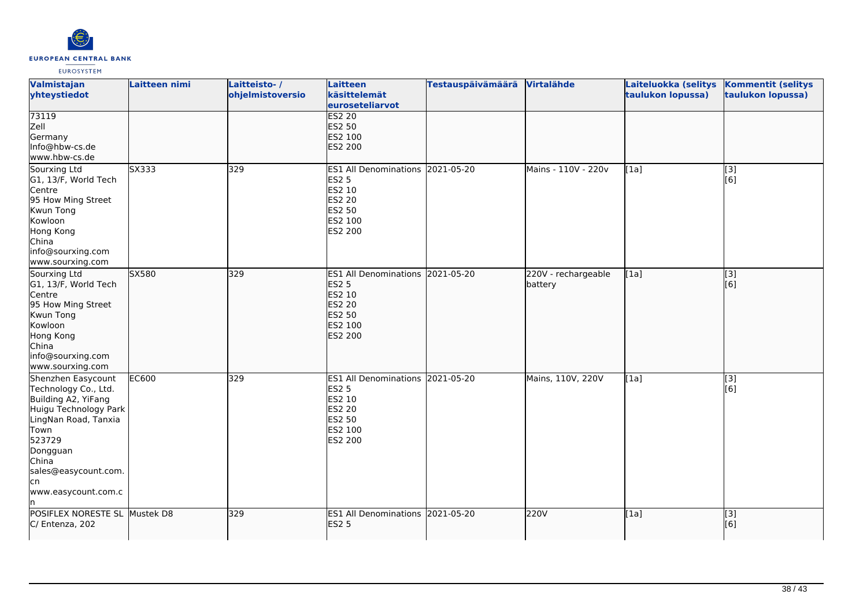

| Valmistajan<br>yhteystiedot                                                                                                                                                                                     | Laitteen nimi | Laitteisto-/<br>ohjelmistoversio | <b>Laitteen</b><br>käsittelemät<br>euroseteliarvot                                                                        | <b>Testauspäivämäärä</b> | Virtalähde                     | Laiteluokka (selitys<br>taulukon lopussa) | <b>Kommentit (selitys</b><br>taulukon lopussa) |
|-----------------------------------------------------------------------------------------------------------------------------------------------------------------------------------------------------------------|---------------|----------------------------------|---------------------------------------------------------------------------------------------------------------------------|--------------------------|--------------------------------|-------------------------------------------|------------------------------------------------|
| 73119<br>Zell<br>Germany<br>Info@hbw-cs.de<br>www.hbw-cs.de                                                                                                                                                     |               |                                  | <b>ES2 20</b><br><b>ES2 50</b><br>ES2 100<br><b>ES2 200</b>                                                               |                          |                                |                                           |                                                |
| Sourxing Ltd<br>G1, 13/F, World Tech<br>Centre<br>95 How Ming Street<br>Kwun Tong<br>Kowloon<br>Hong Kong<br>China<br>info@sourxing.com<br>www.sourxing.com                                                     | SX333         | 329                              | ES1 All Denominations 2021-05-20<br><b>ES2 5</b><br>ES2 10<br><b>ES2 20</b><br><b>ES2 50</b><br>ES2 100<br>ES2 200        |                          | Mains - 110V - 220v            | [1a]                                      | [3]<br>[6]                                     |
| Sourxing Ltd<br>G1, 13/F, World Tech<br>Centre<br>95 How Ming Street<br>Kwun Tong<br>Kowloon<br>Hong Kong<br>China<br>info@sourxing.com<br>www.sourxing.com                                                     | SX580         | 329                              | ES1 All Denominations 2021-05-20<br><b>ES2 5</b><br>ES2 10<br><b>ES2 20</b><br><b>ES2 50</b><br>ES2 100<br><b>ES2 200</b> |                          | 220V - rechargeable<br>battery | [1a]                                      | $\overline{[}$ [3]<br>[6]                      |
| Shenzhen Easycount<br>Technology Co., Ltd.<br>Building A2, YiFang<br>Huigu Technology Park<br>LingNan Road, Tanxia<br>Town<br>523729<br>Dongguan<br>China<br>sales@easycount.com.<br>lcn<br>www.easycount.com.c | <b>EC600</b>  | 329                              | ES1 All Denominations 2021-05-20<br><b>ES2 5</b><br>ES2 10<br><b>ES2 20</b><br><b>ES2 50</b><br>ES2 100<br>ES2 200        |                          | Mains, 110V, 220V              | [1a]                                      | [3]<br>[6]                                     |
| POSIFLEX NORESTE SL Mustek D8<br>C/ Entenza, 202                                                                                                                                                                |               | 329                              | ES1 All Denominations 2021-05-20<br><b>ES2 5</b>                                                                          |                          | 220V                           | [1a]                                      | [3]<br>[6]                                     |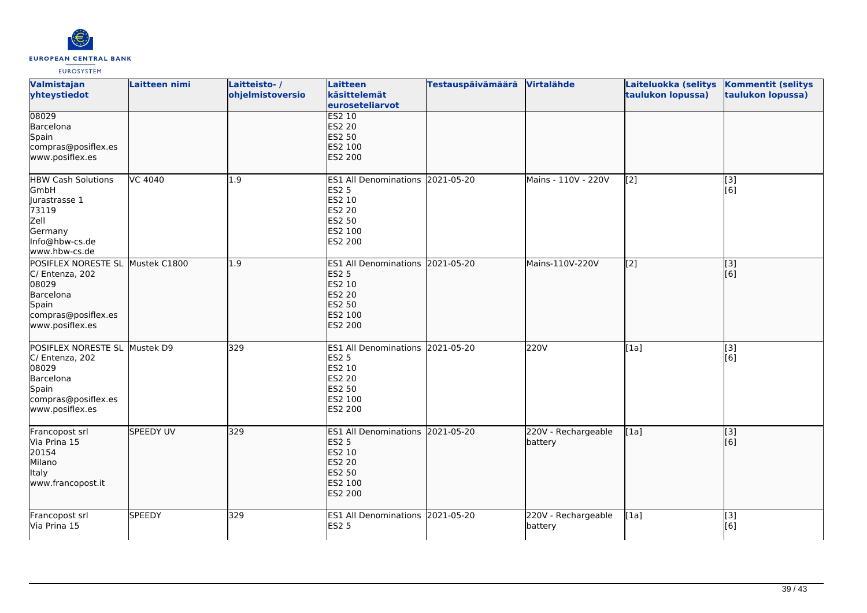

| Valmistajan<br>yhteystiedot                                                                                                  | Laitteen nimi    | Laitteisto-/<br>ohjelmistoversio | <b>Laitteen</b><br>käsittelemät<br>euroseteliarvot                                                          | Testauspäivämäärä Virtalähde |                                | Laiteluokka (selitys<br>taulukon lopussa) | <b>Kommentit (selitys</b><br>taulukon lopussa)        |
|------------------------------------------------------------------------------------------------------------------------------|------------------|----------------------------------|-------------------------------------------------------------------------------------------------------------|------------------------------|--------------------------------|-------------------------------------------|-------------------------------------------------------|
| 08029<br>Barcelona<br>Spain<br>compras@posiflex.es<br>www.posiflex.es                                                        |                  |                                  | <b>ES2 10</b><br><b>ES2 20</b><br>ES2 50<br>ES2 100<br>ES2 200                                              |                              |                                |                                           |                                                       |
| <b>HBW Cash Solutions</b><br>GmbH<br>Jurastrasse 1<br>73119<br>Zell<br>Germany<br>Info@hbw-cs.de<br>www.hbw-cs.de            | VC 4040          | 1.9                              | ES1 All Denominations 2021-05-20<br><b>ES2 5</b><br>ES2 10<br>ES2 20<br>ES2 50<br>ES2 100<br>ES2 200        |                              | Mains - 110V - 220V            | [2]                                       | [3]<br>[6]                                            |
| POSIFLEX NORESTE SL Mustek C1800<br>C/ Entenza, 202<br>08029<br>Barcelona<br>Spain<br>compras@posiflex.es<br>www.posiflex.es |                  | 1.9                              | ES1 All Denominations 2021-05-20<br><b>ES2 5</b><br>ES2 10<br>ES2 20<br>ES2 50<br>ES2 100<br>ES2 200        |                              | Mains-110V-220V                | [2]                                       | [3]<br>[6]                                            |
| POSIFLEX NORESTE SL Mustek D9<br>C/ Entenza, 202<br>08029<br>Barcelona<br>Spain<br>compras@posiflex.es<br>www.posiflex.es    |                  | 329                              | ES1 All Denominations 2021-05-20<br><b>ES2 5</b><br>ES2 10<br><b>ES2 20</b><br>ES2 50<br>ES2 100<br>ES2 200 |                              | 220V                           | [1a]                                      | [3]<br>[6]                                            |
| Francopost srl<br>Via Prina 15<br>20154<br>Milano<br><b>Italy</b><br>www.francopost.it                                       | <b>SPEEDY UV</b> | 329                              | ES1 All Denominations 2021-05-20<br><b>ES2 5</b><br>ES2 10<br><b>ES2 20</b><br>ES2 50<br>ES2 100<br>ES2 200 |                              | 220V - Rechargeable<br>battery | [1a]                                      | $\left[ \begin{matrix} 3 \end{matrix} \right]$<br>[6] |
| Francopost srl<br>Via Prina 15                                                                                               | <b>SPEEDY</b>    | 329                              | ES1 All Denominations 2021-05-20<br><b>ES2 5</b>                                                            |                              | 220V - Rechargeable<br>battery | $\overline{[1a]}$                         | $\overline{[}3]$<br>[6]                               |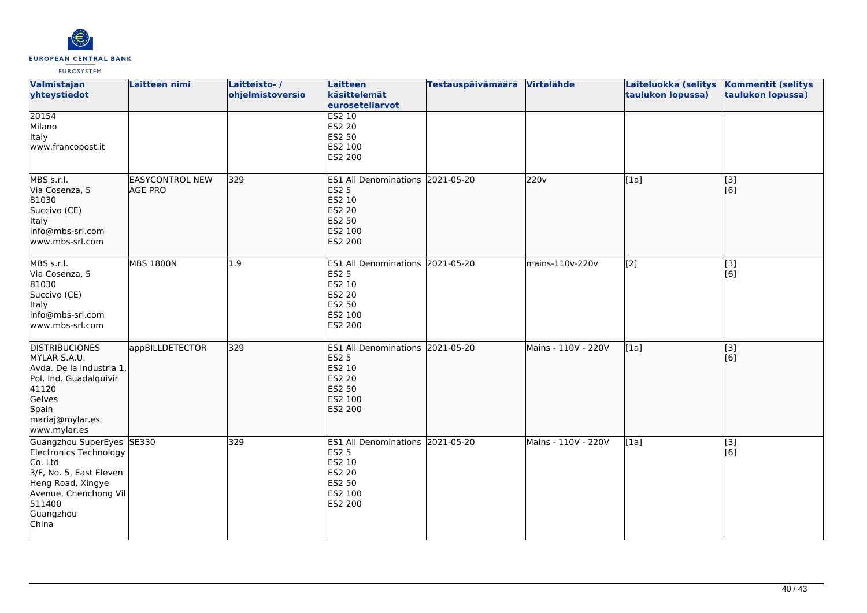

| Valmistajan<br>yhteystiedot                                                                                                                                             | Laitteen nimi                            | Laitteisto-/<br>ohjelmistoversio | <b>Laitteen</b><br>käsittelemät<br>euroseteliarvot                                                                    | <b>Testauspäivämäärä</b> | Virtalähde          | Laiteluokka (selitys<br>taulukon lopussa) | <b>Kommentit (selitys</b><br>taulukon lopussa) |
|-------------------------------------------------------------------------------------------------------------------------------------------------------------------------|------------------------------------------|----------------------------------|-----------------------------------------------------------------------------------------------------------------------|--------------------------|---------------------|-------------------------------------------|------------------------------------------------|
| 20154<br>Milano<br><b>Italy</b><br>www.francopost.it                                                                                                                    |                                          |                                  | <b>ES2 10</b><br><b>ES2 20</b><br>ES2 50<br>ES2 100<br>ES2 200                                                        |                          |                     |                                           |                                                |
| MBS s.r.l.<br>Via Cosenza, 5<br>81030<br>Succivo (CE)<br>Italy<br>info@mbs-srl.com<br>www.mbs-srl.com                                                                   | <b>EASYCONTROL NEW</b><br><b>AGE PRO</b> | 329                              | <b>ES1 All Denominations</b><br><b>ES2 5</b><br>ES2 10<br><b>ES2 20</b><br><b>ES2 50</b><br>ES2 100<br><b>ES2 200</b> | 2021-05-20               | 220v                | [1a]                                      | [3]<br>[[6]                                    |
| MBS s.r.l.<br>Via Cosenza, 5<br>81030<br>Succivo (CE)<br>Italy<br>info@mbs-srl.com<br>www.mbs-srl.com                                                                   | <b>MBS 1800N</b>                         | 1.9                              | ES1 All Denominations 2021-05-20<br><b>ES2 5</b><br>ES2 10<br><b>ES2 20</b><br>ES2 50<br>ES2 100<br>ES2 200           |                          | mains-110v-220v     | $\overline{[2]}$                          | $\overline{[}3]$<br>[6]                        |
| <b>DISTRIBUCIONES</b><br>MYLAR S.A.U.<br>Avda. De la Industria 1,<br>Pol. Ind. Guadalquivir<br>41120<br>Gelves<br>Spain<br>mariaj@mylar.es<br>www.mylar.es              | appBILLDETECTOR                          | 329                              | ES1 All Denominations 2021-05-20<br><b>ES2 5</b><br>ES2 10<br><b>ES2 20</b><br><b>ES2 50</b><br>ES2 100<br>ES2 200    |                          | Mains - 110V - 220V | [1a]                                      | $\overline{[3]}$<br>[6]                        |
| Guangzhou SuperEyes SE330<br>Electronics Technology<br>Co. Ltd<br>3/F, No. 5, East Eleven<br>Heng Road, Xingye<br>Avenue, Chenchong Vil<br>511400<br>Guangzhou<br>China |                                          | 329                              | ES1 All Denominations 2021-05-20<br><b>ES2 5</b><br>ES2 10<br><b>ES2 20</b><br>ES2 50<br>ES2 100<br>ES2 200           |                          | Mains - 110V - 220V | [1a]                                      | $\overline{[3]}$<br>[6]                        |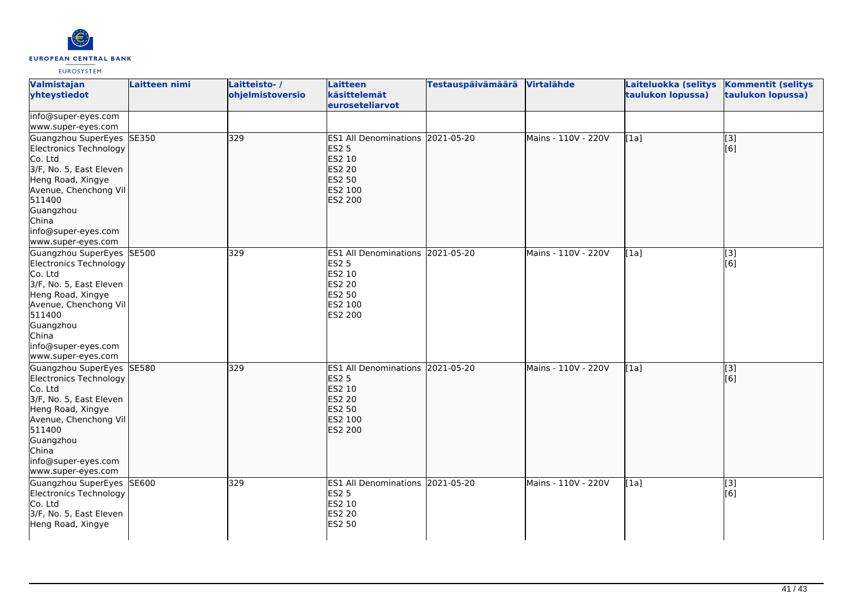

| Valmistajan<br>yhteystiedot                                                                                                                                                                                          | Laitteen nimi | Laitteisto-/<br>ohjelmistoversio | Laitteen<br>käsittelemät<br>euroseteliarvot                                                                 | Testauspäivämäärä | Virtalähde          | Laiteluokka (selitys<br>taulukon lopussa) | <b>Kommentit (selitys</b><br>taulukon lopussa) |
|----------------------------------------------------------------------------------------------------------------------------------------------------------------------------------------------------------------------|---------------|----------------------------------|-------------------------------------------------------------------------------------------------------------|-------------------|---------------------|-------------------------------------------|------------------------------------------------|
| info@super-eyes.com<br>www.super-eyes.com                                                                                                                                                                            |               |                                  |                                                                                                             |                   |                     |                                           |                                                |
| Guangzhou SuperEyes SE350<br>Electronics Technology<br>Co. Ltd<br>3/F, No. 5, East Eleven<br>Heng Road, Xingye<br>Avenue, Chenchong Vil<br>511400<br>Guangzhou<br>China<br>info@super-eyes.com<br>www.super-eyes.com |               | 329                              | ES1 All Denominations 2021-05-20<br><b>ES2 5</b><br>ES2 10<br><b>ES2 20</b><br>ES2 50<br>ES2 100<br>ES2 200 |                   | Mains - 110V - 220V | [1a]                                      | [3]<br>[6]                                     |
| Guangzhou SuperEyes SE500<br>Electronics Technology<br>Co. Ltd<br>3/F, No. 5, East Eleven<br>Heng Road, Xingye<br>Avenue, Chenchong Vil<br>511400<br>Guangzhou<br>China<br>info@super-eyes.com<br>www.super-eyes.com |               | 329                              | <b>ES1 All Denominations</b><br><b>ES2 5</b><br>ES2 10<br><b>ES2 20</b><br>ES2 50<br>ES2 100<br>ES2 200     | 2021-05-20        | Mains - 110V - 220V | [1a]                                      | [3]<br>[6]                                     |
| Guangzhou SuperEyes SE580<br>Electronics Technology<br>Co. Ltd<br>3/F, No. 5, East Eleven<br>Heng Road, Xingye<br>Avenue, Chenchong Vil<br>511400<br>Guangzhou<br>China<br>info@super-eyes.com<br>www.super-eyes.com |               | 329                              | ES1 All Denominations 2021-05-20<br><b>ES2 5</b><br>ES2 10<br><b>ES2 20</b><br>ES2 50<br>ES2 100<br>ES2 200 |                   | Mains - 110V - 220V | [1a]                                      | $\overline{[}3]$<br>[6]                        |
| Guangzhou SuperEyes<br>Electronics Technology<br>Co. Ltd<br>3/F, No. 5, East Eleven<br>Heng Road, Xingye                                                                                                             | SE600         | 329                              | ES1 All Denominations 2021-05-20<br><b>ES2 5</b><br>ES2 10<br><b>ES2 20</b><br><b>ES2 50</b>                |                   | Mains - 110V - 220V | [1a]                                      | $\overline{[3]}$<br>[6]                        |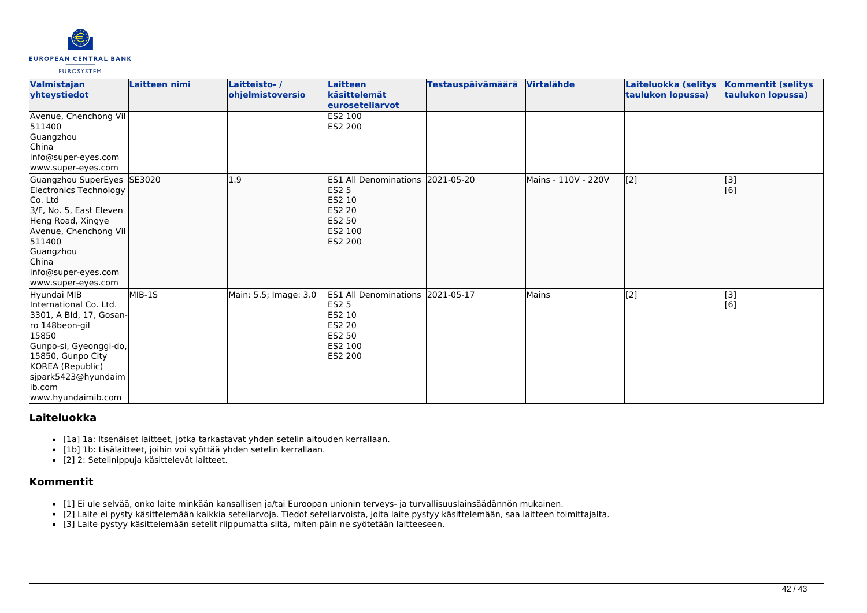

| Valmistajan<br>vhteystiedot                                                                                                                                                                                                  | Laitteen nimi | Laitteisto-/<br>ohjelmistoversio | Laitteen<br>käsittelemät<br>euroseteliarvot                                                                                              | Testauspäivämäärä | Virtalähde          | Laiteluokka (selitys<br>taulukon lopussa) | <b>Kommentit (selitys</b><br>taulukon lopussa) |
|------------------------------------------------------------------------------------------------------------------------------------------------------------------------------------------------------------------------------|---------------|----------------------------------|------------------------------------------------------------------------------------------------------------------------------------------|-------------------|---------------------|-------------------------------------------|------------------------------------------------|
| Avenue, Chenchong Vil<br>511400<br>Guangzhou<br>China<br>info@super-eyes.com<br>www.super-eyes.com                                                                                                                           |               |                                  | <b>ES2 100</b><br>ES2 200                                                                                                                |                   |                     |                                           |                                                |
| Guangzhou SuperEyes SE3020<br>Electronics Technology<br>Co. Ltd<br>3/F, No. 5, East Eleven<br>Heng Road, Xingye<br>Avenue, Chenchong Vil<br>511400<br>Guangzhou<br><b>China</b><br>info@super-eyes.com<br>www.super-eyes.com |               | L.9                              | ES1 All Denominations 2021-05-20<br><b>ES2 5</b><br><b>ES2 10</b><br><b>ES2 20</b><br><b>IES2 50</b><br><b>ES2 100</b><br><b>ES2 200</b> |                   | Mains - 110V - 220V | $\sqrt{2}$                                | [3]<br>[6]                                     |
| Hyundai MIB<br>International Co. Ltd.<br>3301, A Bld, 17, Gosan-<br>ro 148beon-gil<br>15850<br>Gunpo-si, Gyeonggi-do,<br>15850, Gunpo City<br>KOREA (Republic)<br>sjpark5423@hyundaim<br>lib.com<br>www.hyundaimib.com       | MIB-1S        | Main: 5.5; Image: 3.0            | ES1 All Denominations 2021-05-17<br><b>ES2 5</b><br>ES2 10<br>ES2 20<br><b>ES2 50</b><br>ES2 100<br>ES2 200                              |                   | Mains               | [2]                                       | [3]<br>[6]                                     |

# **Laiteluokka**

- [1a] 1a: Itsenäiset laitteet, jotka tarkastavat yhden setelin aitouden kerrallaan.
- [1b] 1b: Lisälaitteet, joihin voi syöttää yhden setelin kerrallaan.
- [2] 2: Setelinippuja käsittelevät laitteet.

# **Kommentit**

- [1] Ei ule selvää, onko laite minkään kansallisen ja/tai Euroopan unionin terveys- ja turvallisuuslainsäädännön mukainen.
- [2] Laite ei pysty käsittelemään kaikkia seteliarvoja. Tiedot seteliarvoista, joita laite pystyy käsittelemään, saa laitteen toimittajalta.
- [3] Laite pystyy käsittelemään setelit riippumatta siitä, miten päin ne syötetään laitteeseen.